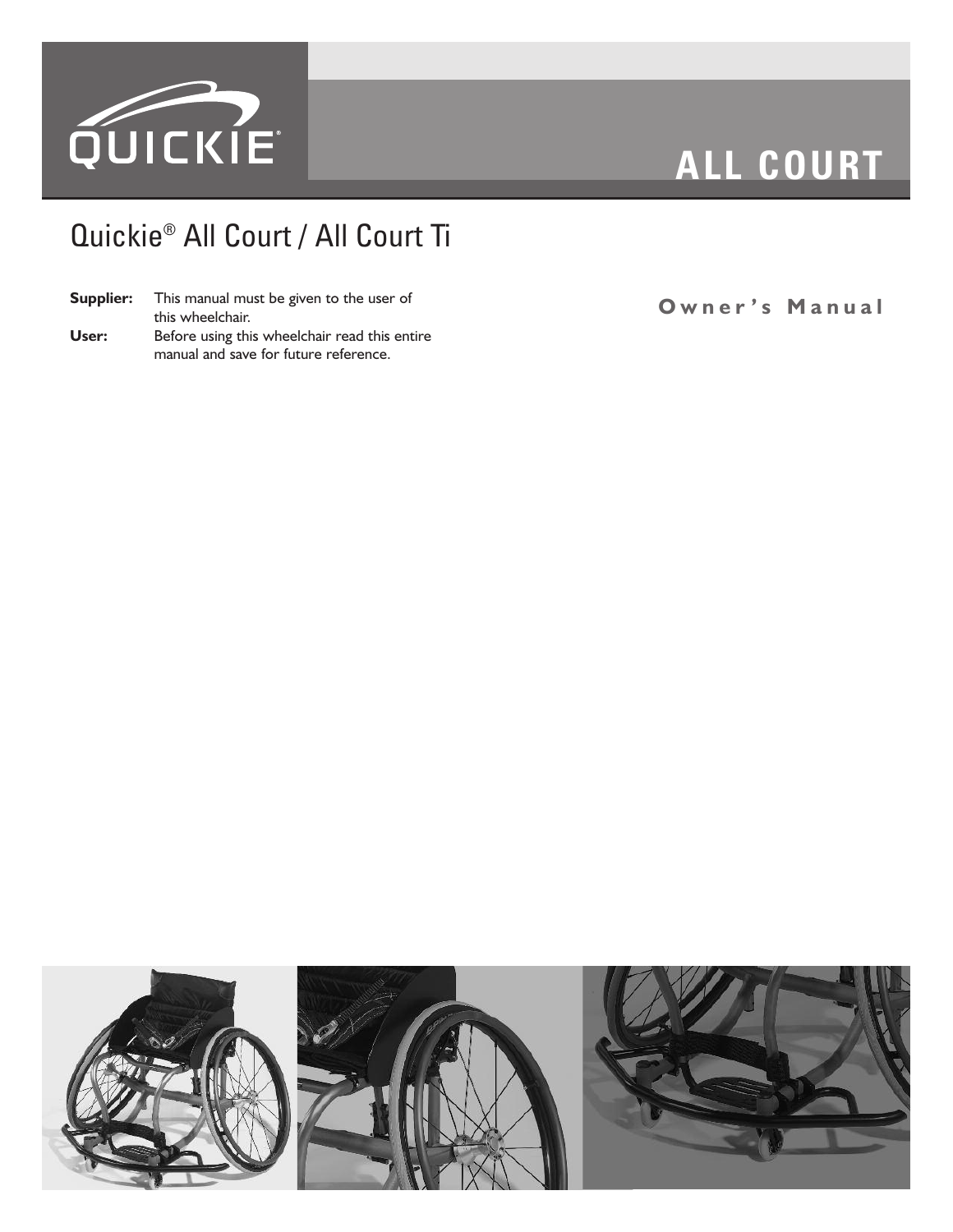

# **ALL COURT**

# Quickie® All Court / All Court Ti

|       | <b>Supplier:</b> This manual must be given to the user of |  |  |  |  |
|-------|-----------------------------------------------------------|--|--|--|--|
|       | this wheelchair.                                          |  |  |  |  |
| User: | Before using this wheelchair read this entire             |  |  |  |  |
|       | manual and save for future reference.                     |  |  |  |  |

**O w n e r ' s M a n u a l**

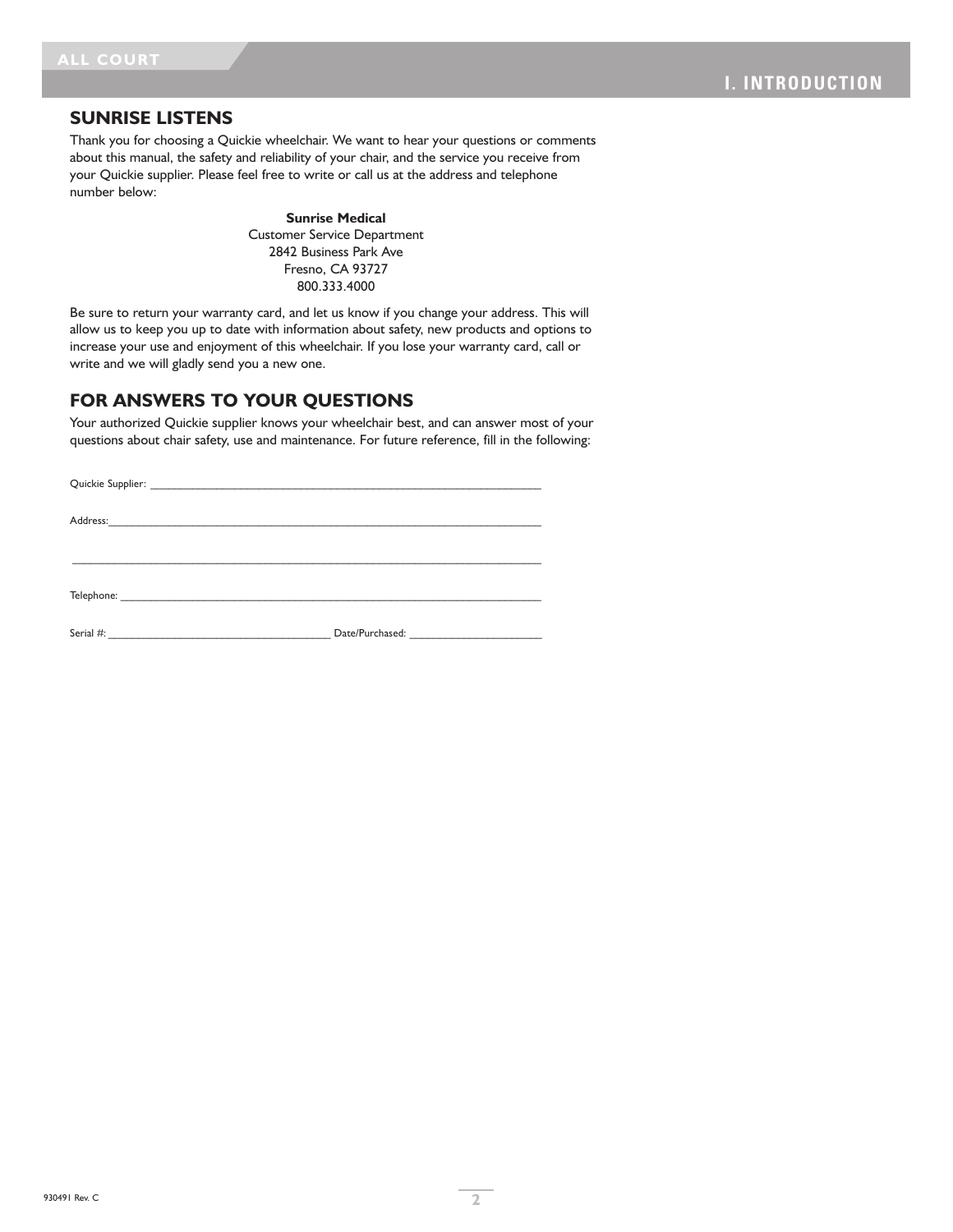#### **SUNRISE LISTENS**

Thank you for choosing a Quickie wheelchair. We want to hear your questions or comments about this manual, the safety and reliability of your chair, and the service you receive from your Quickie supplier. Please feel free to write or call us at the address and telephone number below:

> **Sunrise Medical** Customer Service Department 2842 Business Park Ave Fresno, CA 93727 800.333.4000

Be sure to return your warranty card, and let us know if you change your address. This will allow us to keep you up to date with information about safety, new products and options to increase your use and enjoyment of this wheelchair. If you lose your warranty card, call or write and we will gladly send you a new one.

### **FOR ANSWERS TO YOUR QUESTIONS**

Your authorized Quickie supplier knows your wheelchair best, and can answer most of your questions about chair safety, use and maintenance. For future reference, fill in the following:

| Serial #: | Date/Purchased: |  |  |  |
|-----------|-----------------|--|--|--|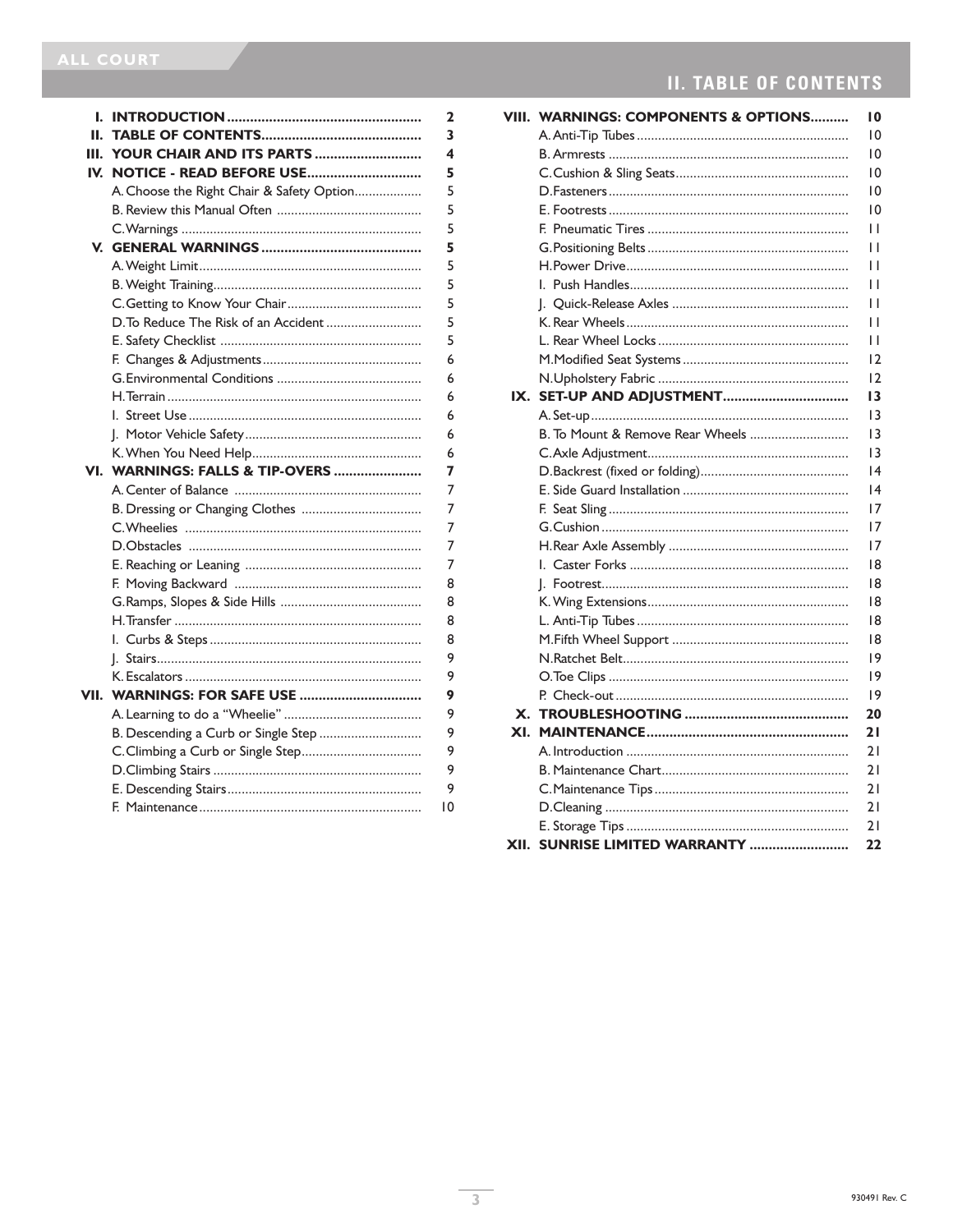| I.   |                                           | 2  |
|------|-------------------------------------------|----|
| Н.   |                                           | 3  |
| Ш.   | YOUR CHAIR AND ITS PARTS                  | 4  |
| IV.  | NOTICE - READ BEFORE USE                  | 5  |
|      | A. Choose the Right Chair & Safety Option | 5  |
|      |                                           | 5  |
|      |                                           | 5  |
|      |                                           | 5  |
|      |                                           | 5  |
|      |                                           | 5  |
|      |                                           | 5  |
|      | D. To Reduce The Risk of an Accident      | 5  |
|      |                                           | 5  |
|      |                                           | 6  |
|      |                                           | 6  |
|      |                                           | 6  |
|      |                                           | 6  |
|      |                                           | 6  |
|      |                                           | 6  |
| VI.  | WARNINGS: FALLS & TIP-OVERS               | 7  |
|      |                                           | 7  |
|      |                                           | 7  |
|      |                                           | 7  |
|      |                                           | 7  |
|      |                                           | 7  |
|      |                                           | 8  |
|      |                                           | 8  |
|      |                                           | 8  |
|      |                                           | 8  |
|      |                                           | 9  |
|      |                                           | 9  |
| VII. | <b>WARNINGS: FOR SAFE USE </b>            | 9  |
|      |                                           | 9  |
|      | B. Descending a Curb or Single Step       | 9  |
|      |                                           | 9  |
|      |                                           | 9  |
|      |                                           | 9  |
|      |                                           | 10 |
|      |                                           |    |

# **II. TABLE OF CONTENTS**

|      | VIII. WARNINGS: COMPONENTS & OPTIONS | 10              |  |  |  |  |  |
|------|--------------------------------------|-----------------|--|--|--|--|--|
|      |                                      | 10              |  |  |  |  |  |
|      |                                      | 10              |  |  |  |  |  |
|      |                                      | 10              |  |  |  |  |  |
|      |                                      | 10              |  |  |  |  |  |
|      |                                      | 10              |  |  |  |  |  |
|      |                                      | П               |  |  |  |  |  |
|      |                                      | П               |  |  |  |  |  |
|      |                                      |                 |  |  |  |  |  |
|      |                                      | П               |  |  |  |  |  |
|      |                                      | П               |  |  |  |  |  |
|      |                                      | Н               |  |  |  |  |  |
|      |                                      | П               |  |  |  |  |  |
|      |                                      | 12              |  |  |  |  |  |
|      |                                      | 12              |  |  |  |  |  |
| IX.  |                                      | 13              |  |  |  |  |  |
|      |                                      | $\overline{13}$ |  |  |  |  |  |
|      | B. To Mount & Remove Rear Wheels     | 3               |  |  |  |  |  |
|      |                                      | 13              |  |  |  |  |  |
|      |                                      | 4               |  |  |  |  |  |
|      |                                      | 4               |  |  |  |  |  |
|      |                                      | 17              |  |  |  |  |  |
|      |                                      | 17              |  |  |  |  |  |
|      |                                      | 17              |  |  |  |  |  |
|      |                                      | 18              |  |  |  |  |  |
|      |                                      | 18              |  |  |  |  |  |
|      |                                      | 18              |  |  |  |  |  |
|      |                                      | 18              |  |  |  |  |  |
|      |                                      | 18              |  |  |  |  |  |
|      |                                      | 9               |  |  |  |  |  |
|      |                                      | 9               |  |  |  |  |  |
|      |                                      | 9               |  |  |  |  |  |
|      |                                      | 20              |  |  |  |  |  |
| XI.  |                                      | 21              |  |  |  |  |  |
|      |                                      | 21              |  |  |  |  |  |
|      |                                      | 21              |  |  |  |  |  |
|      |                                      | 21              |  |  |  |  |  |
|      |                                      | 21              |  |  |  |  |  |
|      |                                      | 21              |  |  |  |  |  |
| XII. | SUNRISE LIMITED WARRANTY             | 22              |  |  |  |  |  |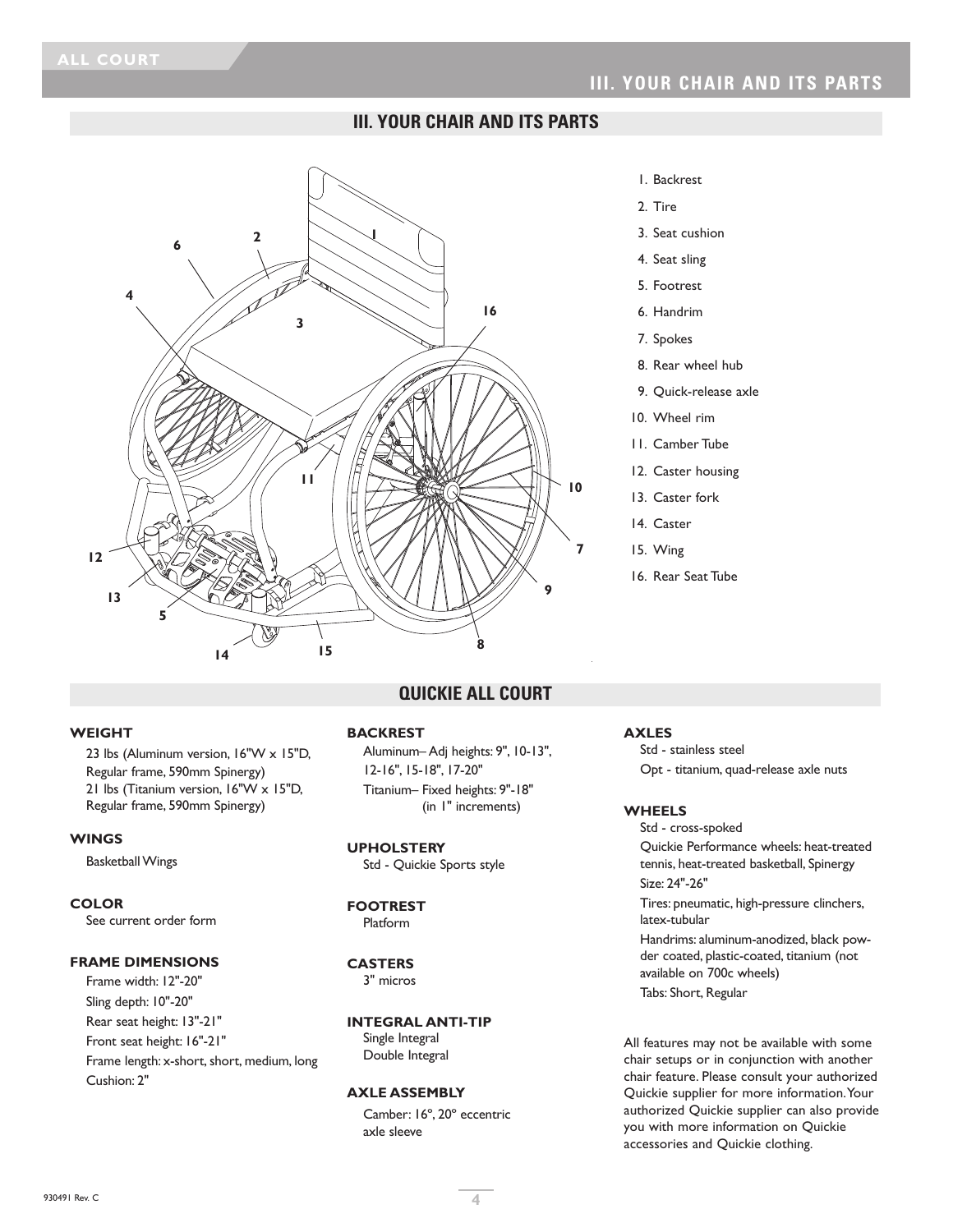### **III. YOUR CHAIR AND ITS PARTS**



#### 1. Backrest

- 2. Tire
- 3. Seat cushion
- 4. Seat sling
- 5. Footrest
- 6. Handrim
- 7. Spokes
- 8. Rear wheel hub
- 9. Quick-release axle
- 10. Wheel rim
- 11. Camber Tube
- 12. Caster housing
- 13. Caster fork
- 14. Caster
- 15. Wing
- 16. Rear Seat Tube

#### **WEIGHT**

23 lbs (Aluminum version, 16"W x 15"D, Regular frame, 590mm Spinergy) 21 lbs (Titanium version, 16"W x 15"D, Regular frame, 590mm Spinergy)

#### **WINGS**

**Basketball Wings** 

#### **COLOR**

See current order form

#### **FRAME DIMENSIONS**

Frame width: 12"-20" Sling depth: 10"-20" Rear seat height: 13"-21" Front seat height: 16"-21" Frame length: x-short, short, medium, long Cushion: 2"

### **QUICKIE ALL COURT**

#### **BACKREST**

Aluminum– Adj heights: 9", 10-13", 12-16", 15-18", 17-20" Titanium– Fixed heights: 9"-18" (in 1" increments)

#### **UPHOLSTERY**

Std - Quickie Sports style

### **FOOTREST**

Platform

#### **CASTERS**

3" micros

#### **INTEGRAL ANTI-TIP**

Single Integral Double Integral

#### **AXLE ASSEMBLY**

Camber: 16º, 20º eccentric axle sleeve

#### **AXLES**

Std - stainless steel Opt - titanium, quad-release axle nuts

#### **WHEELS**

Std - cross-spoked Quickie Performance wheels: heat-treated tennis, heat-treated basketball, Spinergy Size: 24"-26"

Tires: pneumatic, high-pressure clinchers, latex-tubular

Handrims: aluminum-anodized, black powder coated, plastic-coated, titanium (not available on 700c wheels) Tabs: Short, Regular

All features may not be available with some chair setups or in conjunction with another chair feature. Please consult your authorized Quickie supplier for more information.Your authorized Quickie supplier can also provide you with more information on Quickie accessories and Quickie clothing.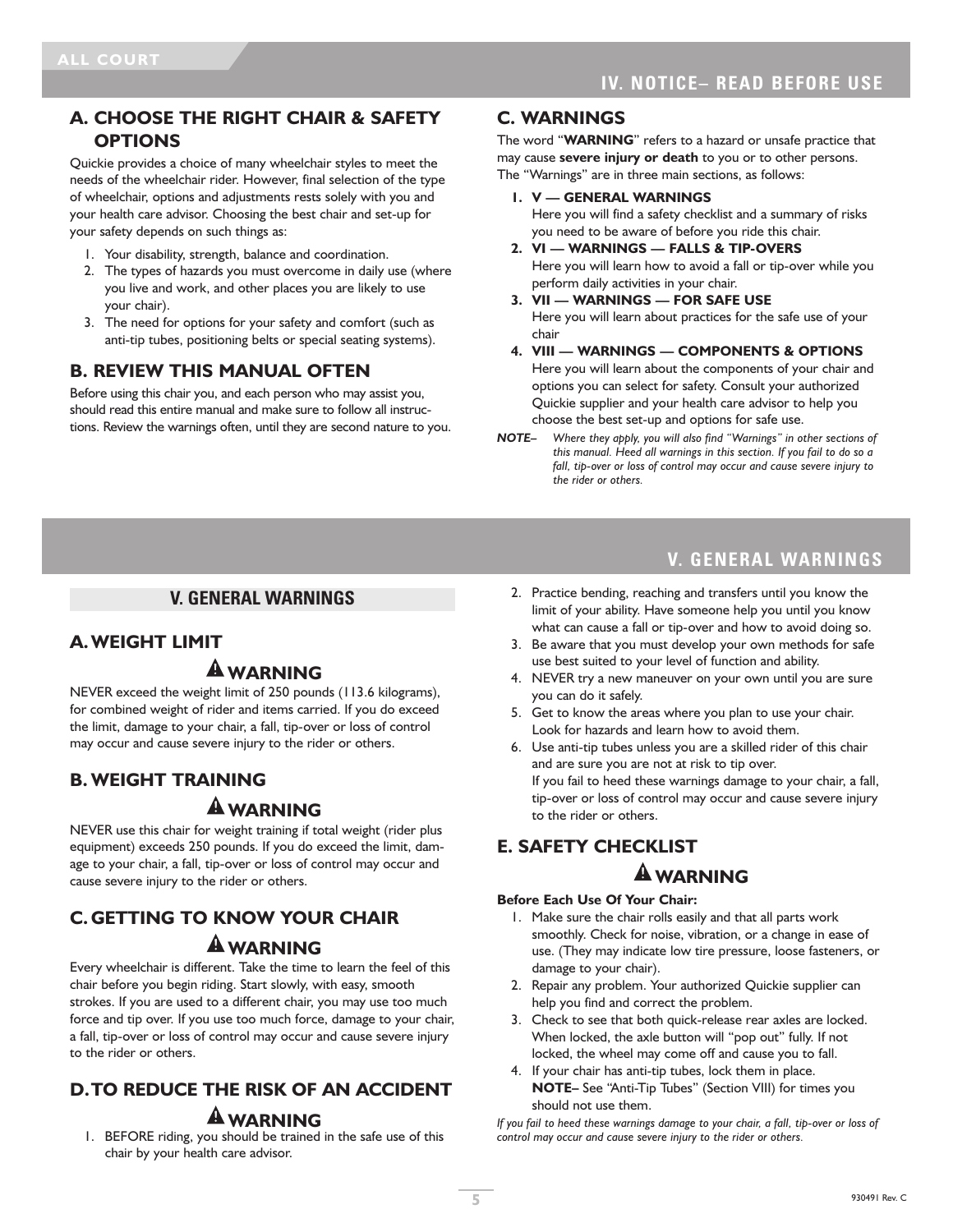### **A. CHOOSE THE RIGHT CHAIR & SAFETY OPTIONS**

Quickie provides a choice of many wheelchair styles to meet the needs of the wheelchair rider. However, final selection of the type of wheelchair, options and adjustments rests solely with you and your health care advisor. Choosing the best chair and set-up for your safety depends on such things as:

- 1. Your disability, strength, balance and coordination.
- 2. The types of hazards you must overcome in daily use (where you live and work, and other places you are likely to use your chair).
- 3. The need for options for your safety and comfort (such as anti-tip tubes, positioning belts or special seating systems).

### **B. REVIEW THIS MANUAL OFTEN**

Before using this chair you, and each person who may assist you, should read this entire manual and make sure to follow all instructions. Review the warnings often, until they are second nature to you.

### **C. WARNINGS**

The word "**WARNING**" refers to a hazard or unsafe practice that may cause **severe injury or death** to you or to other persons. The "Warnings" are in three main sections, as follows:

**1. V — GENERAL WARNINGS**

Here you will find a safety checklist and a summary of risks you need to be aware of before you ride this chair.

- **2. VI — WARNINGS — FALLS & TIP-OVERS** Here you will learn how to avoid a fall or tip-over while you perform daily activities in your chair.
- **3. VII — WARNINGS — FOR SAFE USE** Here you will learn about practices for the safe use of your chair
- **4. VIII — WARNINGS — COMPONENTS & OPTIONS** Here you will learn about the components of your chair and options you can select for safety. Consult your authorized Quickie supplier and your health care advisor to help you choose the best set-up and options for safe use.
- *NOTE– Where they apply, you will also find "Warnings" in other sections of this manual. Heed all warnings in this section. If you fail to do so a fall, tip-over or loss of control may occur and cause severe injury to the rider or others.*

### **V. GENERAL WARNINGS**

# **A.WEIGHT LIMIT**

# **WARNING**

NEVER exceed the weight limit of 250 pounds (113.6 kilograms), for combined weight of rider and items carried. If you do exceed the limit, damage to your chair, a fall, tip-over or loss of control may occur and cause severe injury to the rider or others.

### **B. WEIGHT TRAINING**

# **WARNING**

NEVER use this chair for weight training if total weight (rider plus equipment) exceeds 250 pounds. If you do exceed the limit, damage to your chair, a fall, tip-over or loss of control may occur and cause severe injury to the rider or others.

# **C. GETTING TO KNOW YOUR CHAIR WARNING**

Every wheelchair is different. Take the time to learn the feel of this chair before you begin riding. Start slowly, with easy, smooth strokes. If you are used to a different chair, you may use too much force and tip over. If you use too much force, damage to your chair, a fall, tip-over or loss of control may occur and cause severe injury to the rider or others.

# **D.TO REDUCE THE RISK OF AN ACCIDENT WARNING**

1. BEFORE riding, you should be trained in the safe use of this chair by your health care advisor.

# **V. GENERAL WARNINGS**

- 2. Practice bending, reaching and transfers until you know the limit of your ability. Have someone help you until you know what can cause a fall or tip-over and how to avoid doing so.
- 3. Be aware that you must develop your own methods for safe use best suited to your level of function and ability.
- 4. NEVER try a new maneuver on your own until you are sure you can do it safely.
- 5. Get to know the areas where you plan to use your chair. Look for hazards and learn how to avoid them.
- 6. Use anti-tip tubes unless you are a skilled rider of this chair and are sure you are not at risk to tip over. If you fail to heed these warnings damage to your chair, a fall, tip-over or loss of control may occur and cause severe injury to the rider or others.

### **E. SAFETY CHECKLIST**

### **WARNING**

#### **Before Each Use Of Your Chair:**

- 1. Make sure the chair rolls easily and that all parts work smoothly. Check for noise, vibration, or a change in ease of use. (They may indicate low tire pressure, loose fasteners, or damage to your chair).
- 2. Repair any problem. Your authorized Quickie supplier can help you find and correct the problem.
- 3. Check to see that both quick-release rear axles are locked. When locked, the axle button will "pop out" fully. If not locked, the wheel may come off and cause you to fall.
- 4. If your chair has anti-tip tubes, lock them in place. **NOTE–** See "Anti-Tip Tubes" (Section VIII) for times you should not use them.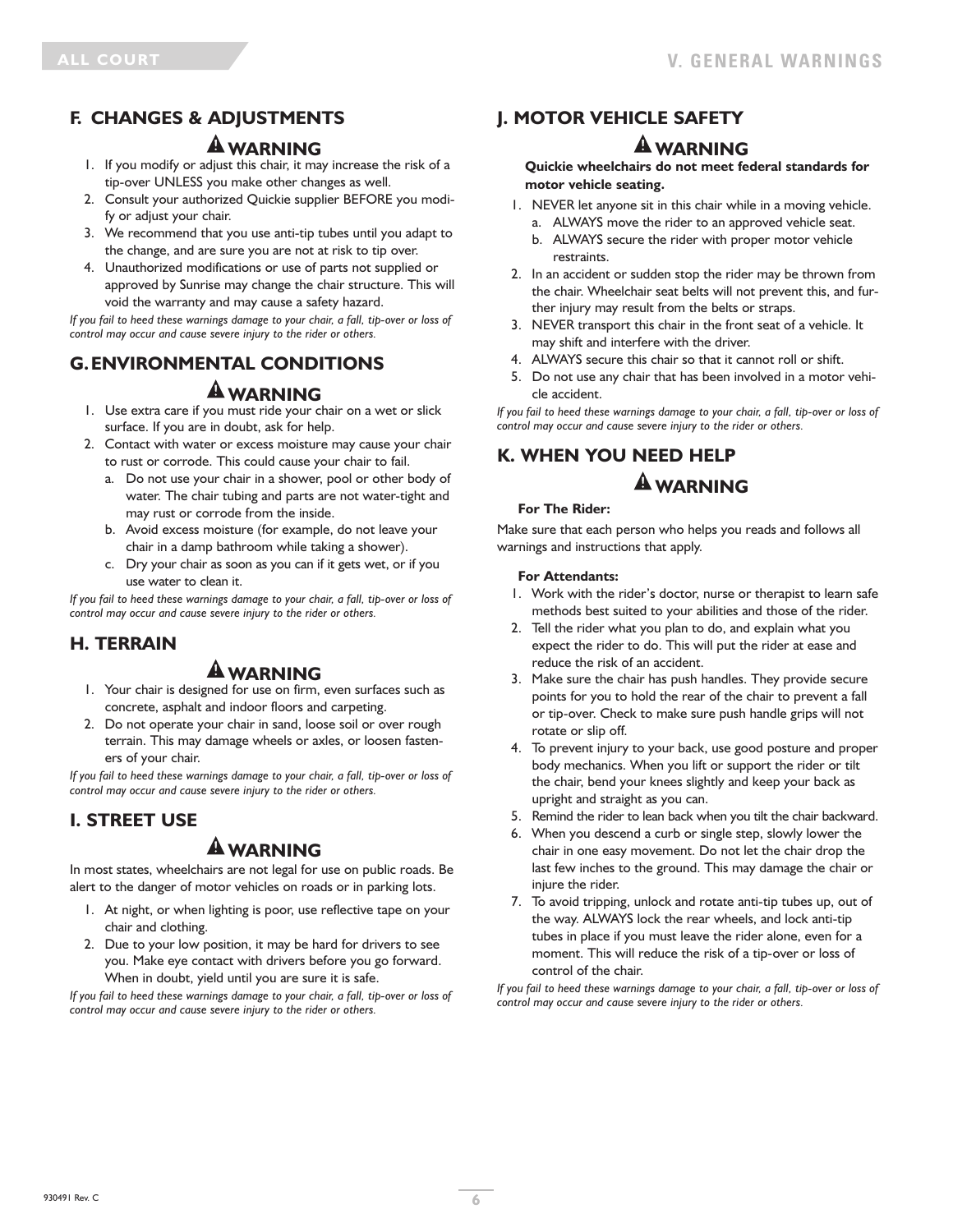# **F. CHANGES & ADJUSTMENTS**

### **WARNING**

- 1. If you modify or adjust this chair, it may increase the risk of a tip-over UNLESS you make other changes as well.
- 2. Consult your authorized Quickie supplier BEFORE you modify or adjust your chair.
- 3. We recommend that you use anti-tip tubes until you adapt to the change, and are sure you are not at risk to tip over.
- 4. Unauthorized modifications or use of parts not supplied or approved by Sunrise may change the chair structure. This will void the warranty and may cause a safety hazard.

*If you fail to heed these warnings damage to your chair, a fall, tip-over or loss of control may occur and cause severe injury to the rider or others.*

# **G.ENVIRONMENTAL CONDITIONS**

### **WARNING**

- 1. Use extra care if you must ride your chair on a wet or slick surface. If you are in doubt, ask for help.
- 2. Contact with water or excess moisture may cause your chair to rust or corrode. This could cause your chair to fail.
	- a. Do not use your chair in a shower, pool or other body of water. The chair tubing and parts are not water-tight and may rust or corrode from the inside.
	- b. Avoid excess moisture (for example, do not leave your chair in a damp bathroom while taking a shower).
	- c. Dry your chair as soon as you can if it gets wet, or if you use water to clean it.

*If you fail to heed these warnings damage to your chair, a fall, tip-over or loss of control may occur and cause severe injury to the rider or others.*

# **H. TERRAIN**

# **WARNING**

- 1. Your chair is designed for use on firm, even surfaces such as concrete, asphalt and indoor floors and carpeting.
- 2. Do not operate your chair in sand, loose soil or over rough terrain. This may damage wheels or axles, or loosen fasteners of your chair.

*If you fail to heed these warnings damage to your chair, a fall, tip-over or loss of control may occur and cause severe injury to the rider or others.*

# **I. STREET USE**

# **WARNING**

In most states, wheelchairs are not legal for use on public roads. Be alert to the danger of motor vehicles on roads or in parking lots.

- 1. At night, or when lighting is poor, use reflective tape on your chair and clothing.
- 2. Due to your low position, it may be hard for drivers to see you. Make eye contact with drivers before you go forward. When in doubt, yield until you are sure it is safe.

*If you fail to heed these warnings damage to your chair, a fall, tip-over or loss of control may occur and cause severe injury to the rider or others.*

# **J. MOTOR VEHICLE SAFETY**

# **WARNING**

**Quickie wheelchairs do not meet federal standards for motor vehicle seating.**

- 1. NEVER let anyone sit in this chair while in a moving vehicle. a. ALWAYS move the rider to an approved vehicle seat.
	- b. ALWAYS secure the rider with proper motor vehicle restraints.
- 2. In an accident or sudden stop the rider may be thrown from the chair. Wheelchair seat belts will not prevent this, and further injury may result from the belts or straps.
- 3. NEVER transport this chair in the front seat of a vehicle. It may shift and interfere with the driver.
- 4. ALWAYS secure this chair so that it cannot roll or shift.
- 5. Do not use any chair that has been involved in a motor vehicle accident.

*If you fail to heed these warnings damage to your chair, a fall, tip-over or loss of control may occur and cause severe injury to the rider or others.*

# **K. WHEN YOU NEED HELP**

# **WARNING**

#### **For The Rider:**

Make sure that each person who helps you reads and follows all warnings and instructions that apply.

#### **For Attendants:**

- 1. Work with the rider's doctor, nurse or therapist to learn safe methods best suited to your abilities and those of the rider.
- 2. Tell the rider what you plan to do, and explain what you expect the rider to do. This will put the rider at ease and reduce the risk of an accident.
- 3. Make sure the chair has push handles. They provide secure points for you to hold the rear of the chair to prevent a fall or tip-over. Check to make sure push handle grips will not rotate or slip off.
- 4. To prevent injury to your back, use good posture and proper body mechanics. When you lift or support the rider or tilt the chair, bend your knees slightly and keep your back as upright and straight as you can.
- 5. Remind the rider to lean back when you tilt the chair backward.
- 6. When you descend a curb or single step, slowly lower the chair in one easy movement. Do not let the chair drop the last few inches to the ground. This may damage the chair or injure the rider.
- 7. To avoid tripping, unlock and rotate anti-tip tubes up, out of the way. ALWAYS lock the rear wheels, and lock anti-tip tubes in place if you must leave the rider alone, even for a moment. This will reduce the risk of a tip-over or loss of control of the chair.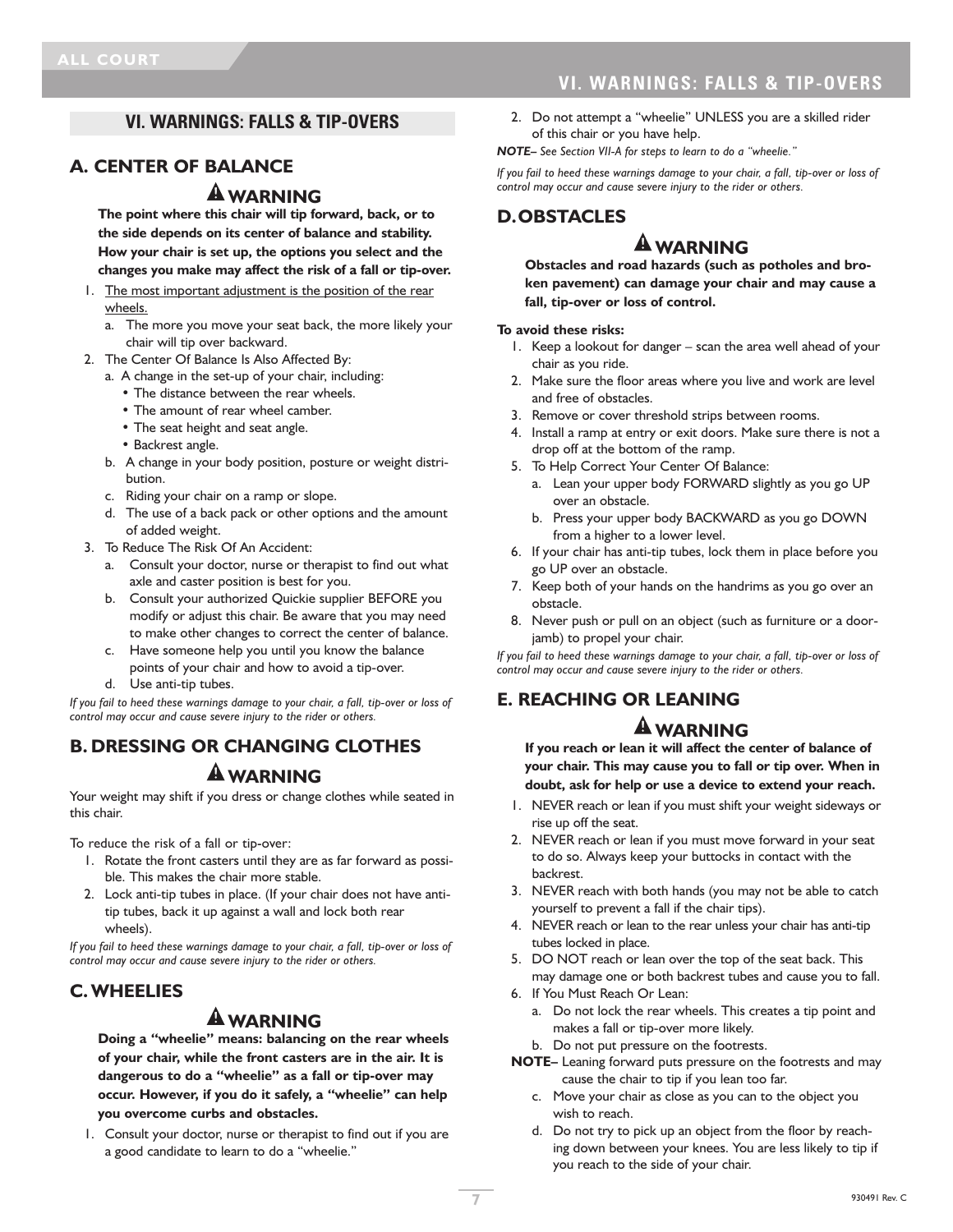# **VI. WARNINGS: FALLS & TIP-OVERS**

### **VI. WARNINGS: FALLS & TIP-OVERS**

### **A. CENTER OF BALANCE**

# **WARNING**

**The point where this chair will tip forward, back, or to the side depends on its center of balance and stability. How your chair is set up, the options you select and the changes you make may affect the risk of a fall or tip-over.**

- 1. The most important adjustment is the position of the rear wheels.
	- a. The more you move your seat back, the more likely your chair will tip over backward.
- 2. The Center Of Balance Is Also Affected By:
	- a. A change in the set-up of your chair, including:
		- The distance between the rear wheels.
		- The amount of rear wheel camber.
		- The seat height and seat angle.
		- Backrest angle.
	- b. A change in your body position, posture or weight distribution.
	- c. Riding your chair on a ramp or slope.
	- d. The use of a back pack or other options and the amount of added weight.
- 3. To Reduce The Risk Of An Accident:
	- a. Consult your doctor, nurse or therapist to find out what axle and caster position is best for you.
	- b. Consult your authorized Quickie supplier BEFORE you modify or adjust this chair. Be aware that you may need to make other changes to correct the center of balance.
	- c. Have someone help you until you know the balance points of your chair and how to avoid a tip-over.
	- d. Use anti-tip tubes.

*If you fail to heed these warnings damage to your chair, a fall, tip-over or loss of control may occur and cause severe injury to the rider or others.*

# **B. DRESSING OR CHANGING CLOTHES**

# **WARNING**

Your weight may shift if you dress or change clothes while seated in this chair.

To reduce the risk of a fall or tip-over:

- 1. Rotate the front casters until they are as far forward as possible. This makes the chair more stable.
- 2. Lock anti-tip tubes in place. (If your chair does not have antitip tubes, back it up against a wall and lock both rear wheels).

*If you fail to heed these warnings damage to your chair, a fall, tip-over or loss of control may occur and cause severe injury to the rider or others.*

# **C.WHEELIES**

# **WARNING**

**Doing a "wheelie" means: balancing on the rear wheels of your chair, while the front casters are in the air. It is dangerous to do a "wheelie" as a fall or tip-over may occur. However, if you do it safely, a "wheelie" can help you overcome curbs and obstacles.**

1. Consult your doctor, nurse or therapist to find out if you are a good candidate to learn to do a "wheelie."

2. Do not attempt a "wheelie" UNLESS you are a skilled rider of this chair or you have help.

*NOTE– See Section VII-A for steps to learn to do a "wheelie."*

*If you fail to heed these warnings damage to your chair, a fall, tip-over or loss of control may occur and cause severe injury to the rider or others.*

### **D.OBSTACLES**

# **WARNING**

**Obstacles and road hazards (such as potholes and broken pavement) can damage your chair and may cause a fall, tip-over or loss of control.**

#### **To avoid these risks:**

- 1. Keep a lookout for danger scan the area well ahead of your chair as you ride.
- 2. Make sure the floor areas where you live and work are level and free of obstacles.
- 3. Remove or cover threshold strips between rooms.
- 4. Install a ramp at entry or exit doors. Make sure there is not a drop off at the bottom of the ramp.
- 5. To Help Correct Your Center Of Balance:
	- a. Lean your upper body FORWARD slightly as you go UP over an obstacle.
	- b. Press your upper body BACKWARD as you go DOWN from a higher to a lower level.
- 6. If your chair has anti-tip tubes, lock them in place before you go UP over an obstacle.
- 7. Keep both of your hands on the handrims as you go over an obstacle.
- 8. Never push or pull on an object (such as furniture or a doorjamb) to propel your chair.

*If you fail to heed these warnings damage to your chair, a fall, tip-over or loss of control may occur and cause severe injury to the rider or others.*

# **E. REACHING OR LEANING**

# **WARNING**

**If you reach or lean it will affect the center of balance of your chair. This may cause you to fall or tip over. When in doubt, ask for help or use a device to extend your reach.**

- 1. NEVER reach or lean if you must shift your weight sideways or rise up off the seat.
- 2. NEVER reach or lean if you must move forward in your seat to do so. Always keep your buttocks in contact with the backrest.
- 3. NEVER reach with both hands (you may not be able to catch yourself to prevent a fall if the chair tips).
- 4. NEVER reach or lean to the rear unless your chair has anti-tip tubes locked in place.
- 5. DO NOT reach or lean over the top of the seat back. This may damage one or both backrest tubes and cause you to fall.
- 6. If You Must Reach Or Lean:
	- a. Do not lock the rear wheels. This creates a tip point and makes a fall or tip-over more likely.
	- b. Do not put pressure on the footrests.
- **NOTE–** Leaning forward puts pressure on the footrests and may cause the chair to tip if you lean too far.
	- c. Move your chair as close as you can to the object you wish to reach.
	- d. Do not try to pick up an object from the floor by reaching down between your knees. You are less likely to tip if you reach to the side of your chair.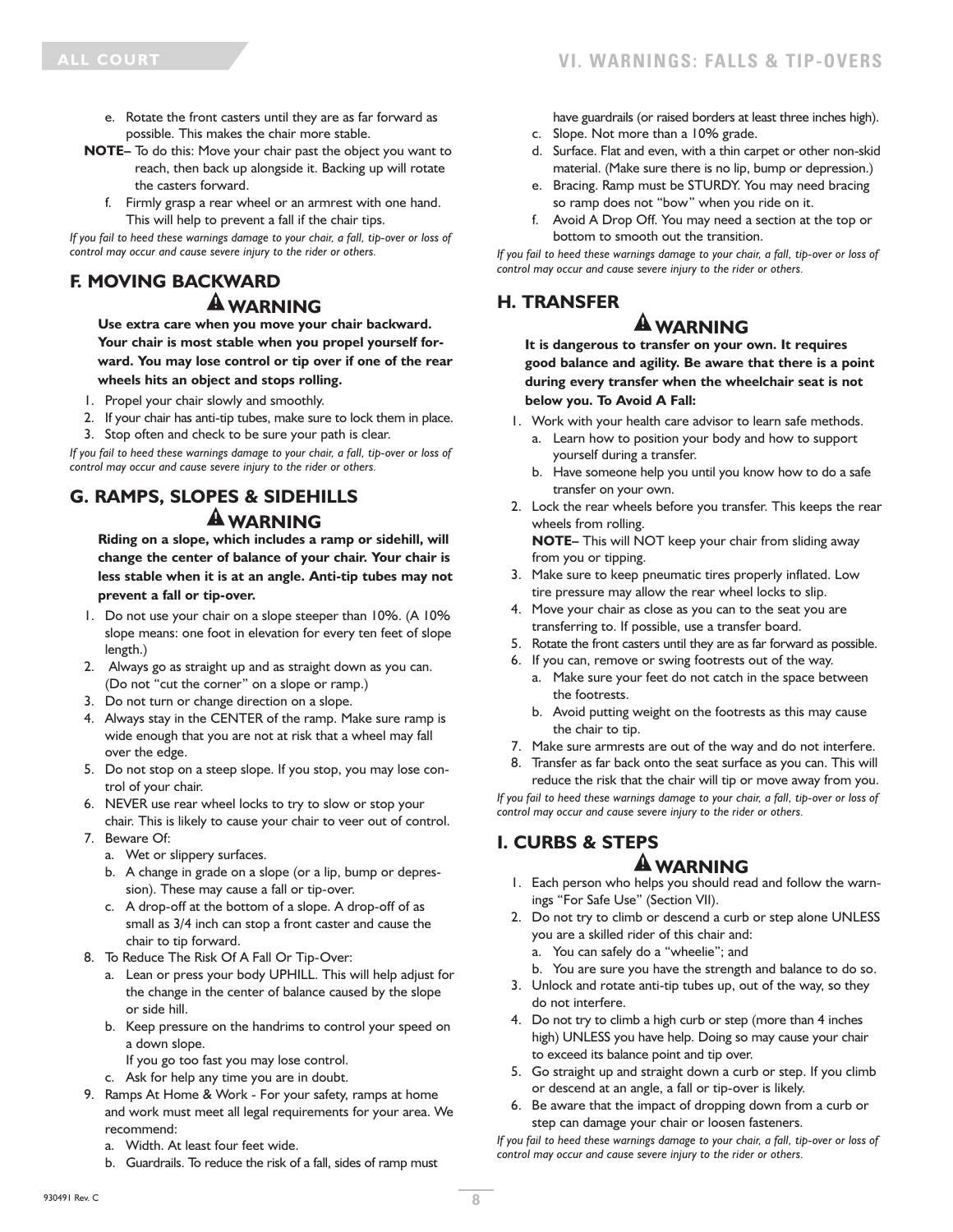- e. Rotate the front casters until they are as far forward as possible. This makes the chair more stable.
- **NOTE–** To do this: Move your chair past the object you want to reach, then back up alongside it. Backing up will rotate the casters forward.
	- f. Firmly grasp a rear wheel or an armrest with one hand. This will help to prevent a fall if the chair tips.

*If you fail to heed these warnings damage to your chair, a fall, tip-over or loss of control may occur and cause severe injury to the rider or others.*

### **F. MOVING BACKWARD WARNING**

**Use extra care when you move your chair backward. Your chair is most stable when you propel yourself forward. You may lose control or tip over if one of the rear wheels hits an object and stops rolling.**

- 1. Propel your chair slowly and smoothly.
- 2. If your chair has anti-tip tubes, make sure to lock them in place.
- 3. Stop often and check to be sure your path is clear.

*If you fail to heed these warnings damage to your chair, a fall, tip-over or loss of control may occur and cause severe injury to the rider or others.*

# **G. RAMPS, SLOPES & SIDEHILLS WARNING**

**Riding on a slope, which includes a ramp or sidehill, will change the center of balance of your chair. Your chair is less stable when it is at an angle. Anti-tip tubes may not prevent a fall or tip-over.**

- 1. Do not use your chair on a slope steeper than 10%. (A 10% slope means: one foot in elevation for every ten feet of slope length.)
- 2. Always go as straight up and as straight down as you can. (Do not "cut the corner" on a slope or ramp.)
- 3. Do not turn or change direction on a slope.
- 4. Always stay in the CENTER of the ramp. Make sure ramp is wide enough that you are not at risk that a wheel may fall over the edge.
- 5. Do not stop on a steep slope. If you stop, you may lose control of your chair.
- 6. NEVER use rear wheel locks to try to slow or stop your chair. This is likely to cause your chair to veer out of control.
- 7. Beware Of:
	- a. Wet or slippery surfaces.
	- b. A change in grade on a slope (or a lip, bump or depression). These may cause a fall or tip-over.
	- c. A drop-off at the bottom of a slope. A drop-off of as small as 3/4 inch can stop a front caster and cause the chair to tip forward.
- 8. To Reduce The Risk Of A Fall Or Tip-Over:
	- a. Lean or press your body UPHILL. This will help adjust for the change in the center of balance caused by the slope or side hill.
	- b. Keep pressure on the handrims to control your speed on a down slope.
		- If you go too fast you may lose control.
	- c. Ask for help any time you are in doubt.
- 9. Ramps At Home & Work For your safety, ramps at home and work must meet all legal requirements for your area. We recommend:
	- a. Width. At least four feet wide.
	- b. Guardrails. To reduce the risk of a fall, sides of ramp must

have guardrails (or raised borders at least three inches high).

- c. Slope. Not more than a 10% grade.
- d. Surface. Flat and even, with a thin carpet or other non-skid material. (Make sure there is no lip, bump or depression.)
- e. Bracing. Ramp must be STURDY. You may need bracing so ramp does not "bow" when you ride on it.
- f. Avoid A Drop Off. You may need a section at the top or bottom to smooth out the transition.

*If you fail to heed these warnings damage to your chair, a fall, tip-over or loss of control may occur and cause severe injury to the rider or others.*

# **H. TRANSFER**

# **WARNING**

**It is dangerous to transfer on your own. It requires good balance and agility. Be aware that there is a point during every transfer when the wheelchair seat is not below you. To Avoid A Fall:**

- 1. Work with your health care advisor to learn safe methods.
	- a. Learn how to position your body and how to support yourself during a transfer.
	- b. Have someone help you until you know how to do a safe transfer on your own.
- 2. Lock the rear wheels before you transfer. This keeps the rear wheels from rolling.

**NOTE–** This will NOT keep your chair from sliding away from you or tipping.

- 3. Make sure to keep pneumatic tires properly inflated. Low tire pressure may allow the rear wheel locks to slip.
- 4. Move your chair as close as you can to the seat you are transferring to. If possible, use a transfer board.
- 5. Rotate the front casters until they are as far forward as possible.
- 6. If you can, remove or swing footrests out of the way.
	- a. Make sure your feet do not catch in the space between the footrests.
	- b. Avoid putting weight on the footrests as this may cause the chair to tip.
- 7. Make sure armrests are out of the way and do not interfere.
- 8. Transfer as far back onto the seat surface as you can. This will reduce the risk that the chair will tip or move away from you.

*If you fail to heed these warnings damage to your chair, a fall, tip-over or loss of control may occur and cause severe injury to the rider or others.*

### **I. CURBS & STEPS**

### **WARNING**

- 1. Each person who helps you should read and follow the warnings "For Safe Use" (Section VII).
- 2. Do not try to climb or descend a curb or step alone UNLESS you are a skilled rider of this chair and:
	- a. You can safely do a "wheelie"; and
	- b. You are sure you have the strength and balance to do so.
- 3. Unlock and rotate anti-tip tubes up, out of the way, so they do not interfere.
- 4. Do not try to climb a high curb or step (more than 4 inches high) UNLESS you have help. Doing so may cause your chair to exceed its balance point and tip over.
- 5. Go straight up and straight down a curb or step. If you climb or descend at an angle, a fall or tip-over is likely.
- 6. Be aware that the impact of dropping down from a curb or step can damage your chair or loosen fasteners.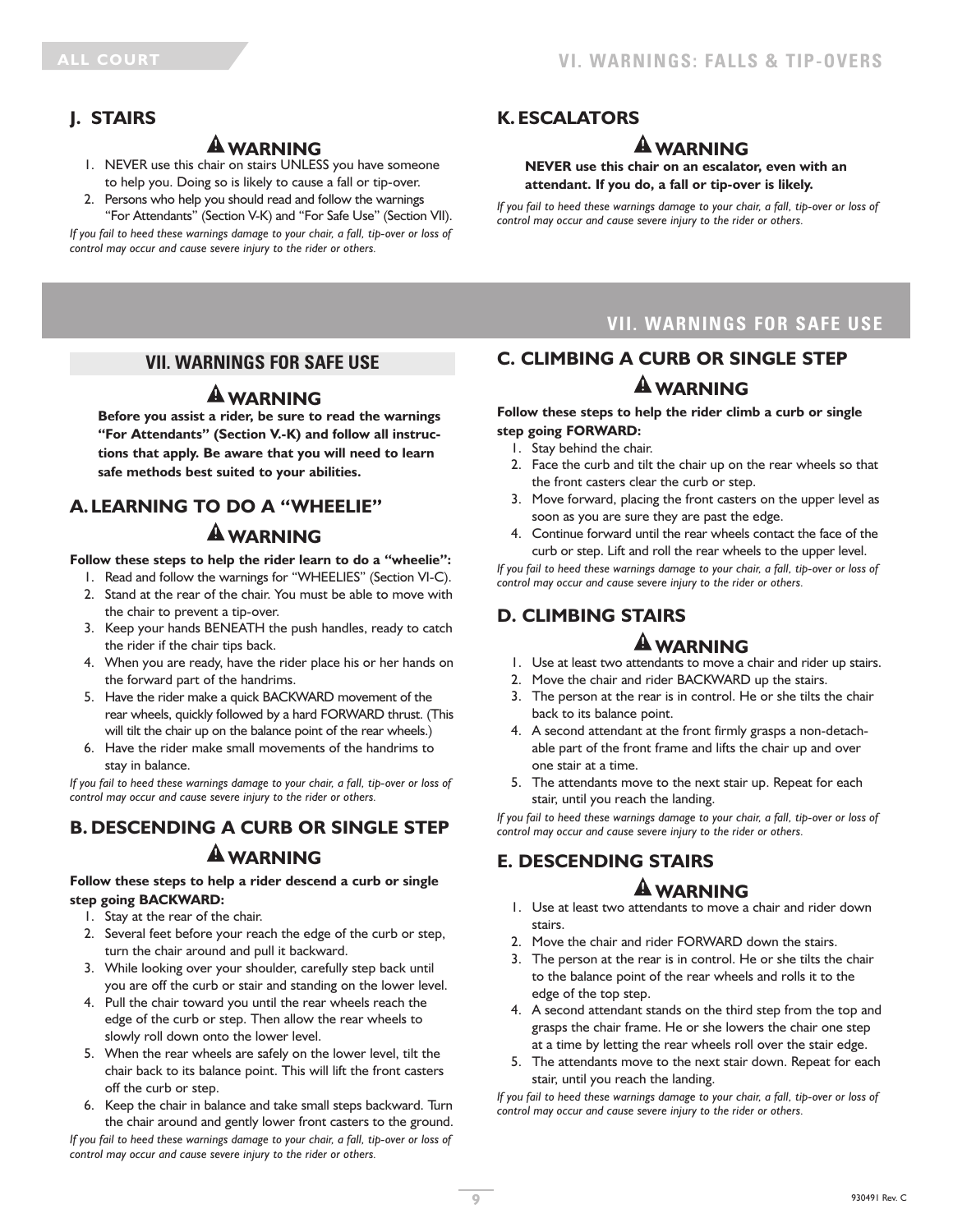# **J. STAIRS**

# **WARNING**

- 1. NEVER use this chair on stairs UNLESS you have someone to help you. Doing so is likely to cause a fall or tip-over.
- 2. Persons who help you should read and follow the warnings "For Attendants" (Section V-K) and "For Safe Use" (Section VII).

*If you fail to heed these warnings damage to your chair, a fall, tip-over or loss of control may occur and cause severe injury to the rider or others.*

# **K. ESCALATORS**

# **WARNING**

#### **NEVER use this chair on an escalator, even with an attendant. If you do, a fall or tip-over is likely.**

*If you fail to heed these warnings damage to your chair, a fall, tip-over or loss of control may occur and cause severe injury to the rider or others.*

### **VII. WARNINGS FOR SAFE USE**

# **WARNING**

**Before you assist a rider, be sure to read the warnings "For Attendants" (Section V.-K) and follow all instructions that apply. Be aware that you will need to learn safe methods best suited to your abilities.**

# **A.LEARNING TO DO A "WHEELIE" WARNING**

**Follow these steps to help the rider learn to do a "wheelie":**

- 1. Read and follow the warnings for "WHEELIES" (Section VI-C). 2. Stand at the rear of the chair. You must be able to move with the chair to prevent a tip-over.
- 3. Keep your hands BENEATH the push handles, ready to catch the rider if the chair tips back.
- 4. When you are ready, have the rider place his or her hands on the forward part of the handrims.
- 5. Have the rider make a quick BACKWARD movement of the rear wheels, quickly followed by a hard FORWARD thrust. (This will tilt the chair up on the balance point of the rear wheels.)
- 6. Have the rider make small movements of the handrims to stay in balance.

*If you fail to heed these warnings damage to your chair, a fall, tip-over or loss of control may occur and cause severe injury to the rider or others.*

# **B. DESCENDING A CURB OR SINGLE STEP WARNING**

#### **Follow these steps to help a rider descend a curb or single step going BACKWARD:**

- 1. Stay at the rear of the chair.
- 2. Several feet before your reach the edge of the curb or step, turn the chair around and pull it backward.
- 3. While looking over your shoulder, carefully step back until you are off the curb or stair and standing on the lower level.
- 4. Pull the chair toward you until the rear wheels reach the edge of the curb or step. Then allow the rear wheels to slowly roll down onto the lower level.
- 5. When the rear wheels are safely on the lower level, tilt the chair back to its balance point. This will lift the front casters off the curb or step.
- 6. Keep the chair in balance and take small steps backward. Turn the chair around and gently lower front casters to the ground.

*If you fail to heed these warnings damage to your chair, a fall, tip-over or loss of control may occur and cause severe injury to the rider or others.*

# **VII. WARNINGS FOR SAFE USE**

# **C. CLIMBING A CURB OR SINGLE STEP WARNING**

#### **Follow these steps to help the rider climb a curb or single step going FORWARD:**

- 1. Stay behind the chair.
- 2. Face the curb and tilt the chair up on the rear wheels so that the front casters clear the curb or step.
- 3. Move forward, placing the front casters on the upper level as soon as you are sure they are past the edge.
- 4. Continue forward until the rear wheels contact the face of the curb or step. Lift and roll the rear wheels to the upper level.

*If you fail to heed these warnings damage to your chair, a fall, tip-over or loss of control may occur and cause severe injury to the rider or others.*

# **D. CLIMBING STAIRS**

# **WARNING**

- 1. Use at least two attendants to move a chair and rider up stairs.
- 2. Move the chair and rider BACKWARD up the stairs.
- 3. The person at the rear is in control. He or she tilts the chair back to its balance point.
- 4. A second attendant at the front firmly grasps a non-detachable part of the front frame and lifts the chair up and over one stair at a time.
- 5. The attendants move to the next stair up. Repeat for each stair, until you reach the landing.

*If you fail to heed these warnings damage to your chair, a fall, tip-over or loss of control may occur and cause severe injury to the rider or others.*

# **E. DESCENDING STAIRS**

# **WARNING**

- 1. Use at least two attendants to move a chair and rider down stairs.
- 2. Move the chair and rider FORWARD down the stairs.
- 3. The person at the rear is in control. He or she tilts the chair to the balance point of the rear wheels and rolls it to the edge of the top step.
- 4. A second attendant stands on the third step from the top and grasps the chair frame. He or she lowers the chair one step at a time by letting the rear wheels roll over the stair edge.
- 5. The attendants move to the next stair down. Repeat for each stair, until you reach the landing.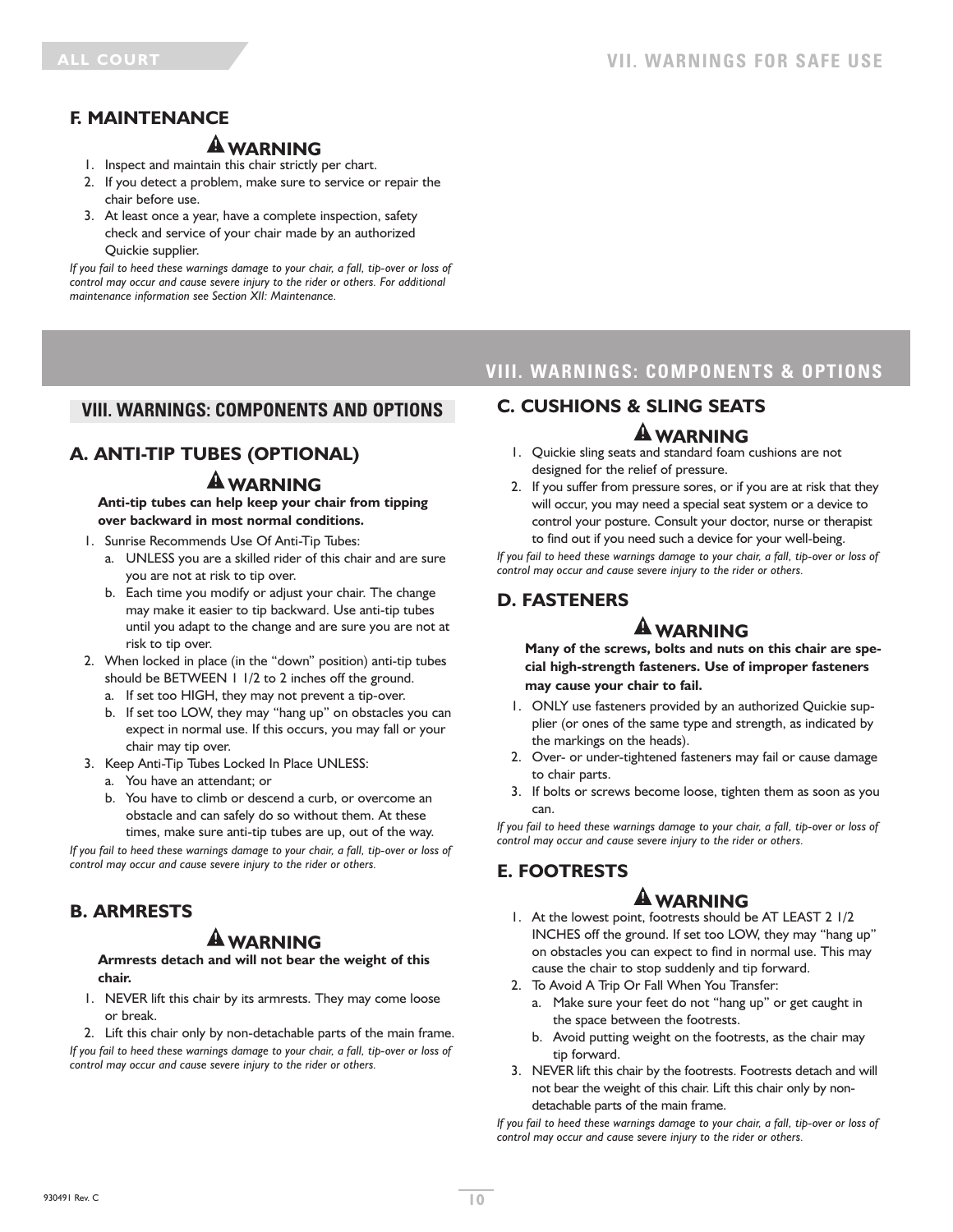# **F. MAINTENANCE**

# **WARNING**

- 1. Inspect and maintain this chair strictly per chart.
- 2. If you detect a problem, make sure to service or repair the chair before use.
- 3. At least once a year, have a complete inspection, safety check and service of your chair made by an authorized Quickie supplier.

*If you fail to heed these warnings damage to your chair, a fall, tip-over or loss of control may occur and cause severe injury to the rider or others. For additional maintenance information see Section XII: Maintenance.*

### **VIII. WARNINGS: COMPONENTS AND OPTIONS**

# **A. ANTI-TIP TUBES (OPTIONAL)**

# **WARNING**

**Anti-tip tubes can help keep your chair from tipping over backward in most normal conditions.**

- 1. Sunrise Recommends Use Of Anti-Tip Tubes:
	- a. UNLESS you are a skilled rider of this chair and are sure you are not at risk to tip over.
	- b. Each time you modify or adjust your chair. The change may make it easier to tip backward. Use anti-tip tubes until you adapt to the change and are sure you are not at risk to tip over.
- 2. When locked in place (in the "down" position) anti-tip tubes should be BETWEEN 1 1/2 to 2 inches off the ground.
	- a. If set too HIGH, they may not prevent a tip-over.
	- b. If set too LOW, they may "hang up" on obstacles you can expect in normal use. If this occurs, you may fall or your chair may tip over.
- 3. Keep Anti-Tip Tubes Locked In Place UNLESS:
	- a. You have an attendant; or
	- b. You have to climb or descend a curb, or overcome an obstacle and can safely do so without them. At these times, make sure anti-tip tubes are up, out of the way.

*If you fail to heed these warnings damage to your chair, a fall, tip-over or loss of control may occur and cause severe injury to the rider or others.*

# **B. ARMRESTS**

# **WARNING**

**Armrests detach and will not bear the weight of this chair.**

1. NEVER lift this chair by its armrests. They may come loose or break.

2. Lift this chair only by non-detachable parts of the main frame. *If you fail to heed these warnings damage to your chair, a fall, tip-over or loss of control may occur and cause severe injury to the rider or others.*

# **VIII. WARNINGS: COMPONENTS & OPTIONS**

### **C. CUSHIONS & SLING SEATS**

### **WARNING**

- 1. Quickie sling seats and standard foam cushions are not designed for the relief of pressure.
- 2. If you suffer from pressure sores, or if you are at risk that they will occur, you may need a special seat system or a device to control your posture. Consult your doctor, nurse or therapist to find out if you need such a device for your well-being.

*If you fail to heed these warnings damage to your chair, a fall, tip-over or loss of control may occur and cause severe injury to the rider or others.*

# **D. FASTENERS**

# **WARNING**

**Many of the screws, bolts and nuts on this chair are special high-strength fasteners. Use of improper fasteners may cause your chair to fail.**

- 1. ONLY use fasteners provided by an authorized Quickie supplier (or ones of the same type and strength, as indicated by the markings on the heads).
- 2. Over- or under-tightened fasteners may fail or cause damage to chair parts.
- 3. If bolts or screws become loose, tighten them as soon as you can.

*If you fail to heed these warnings damage to your chair, a fall, tip-over or loss of control may occur and cause severe injury to the rider or others.*

# **E. FOOTRESTS**

# **WARNING**

1. At the lowest point, footrests should be AT LEAST 2 1/2 INCHES off the ground. If set too LOW, they may "hang up" on obstacles you can expect to find in normal use. This may cause the chair to stop suddenly and tip forward.

- 2. To Avoid A Trip Or Fall When You Transfer:
	- a. Make sure your feet do not "hang up" or get caught in the space between the footrests.
	- b. Avoid putting weight on the footrests, as the chair may tip forward.
- 3. NEVER lift this chair by the footrests. Footrests detach and will not bear the weight of this chair. Lift this chair only by nondetachable parts of the main frame.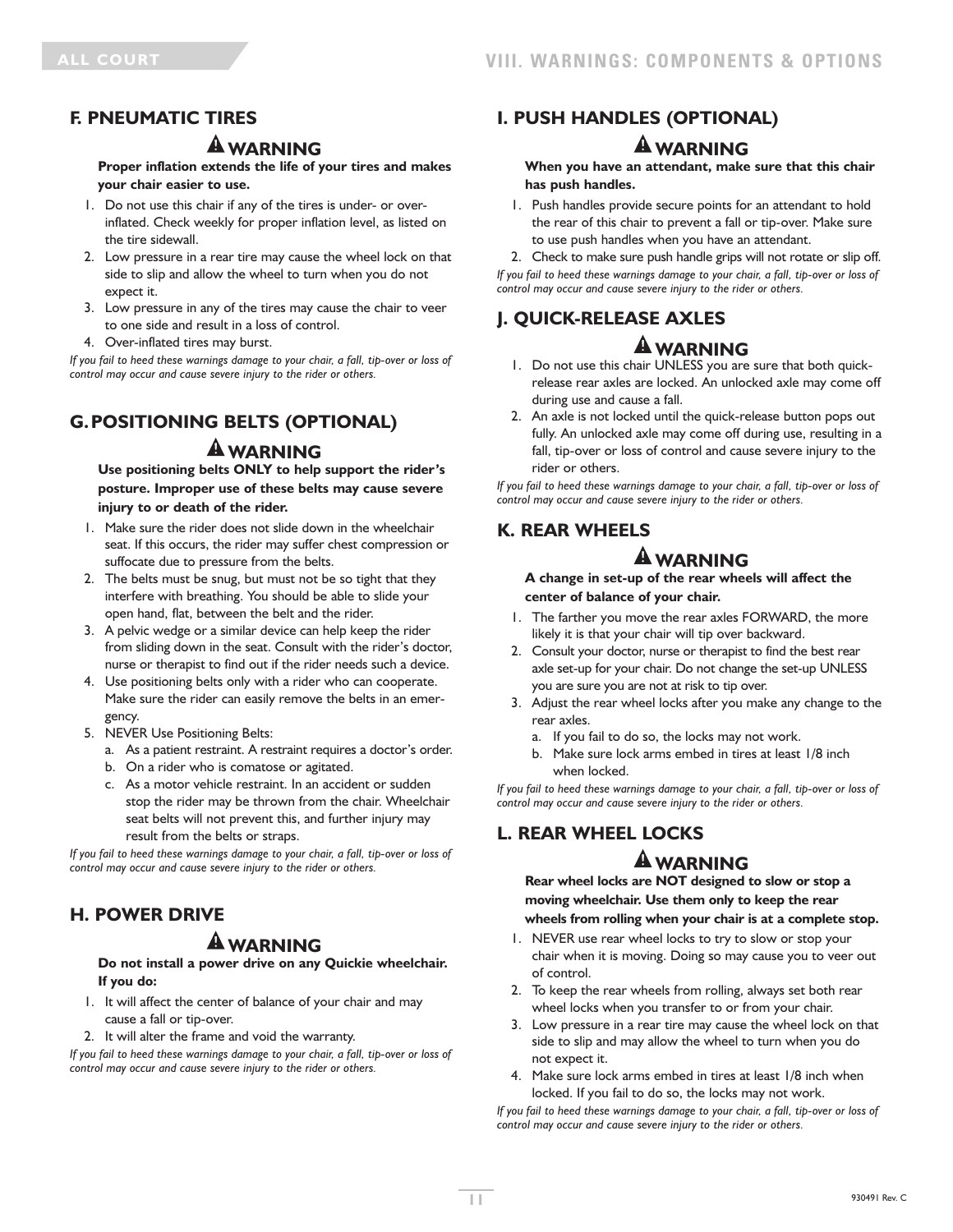# **F. PNEUMATIC TIRES**

# **WARNING**

**Proper inflation extends the life of your tires and makes your chair easier to use.**

- 1. Do not use this chair if any of the tires is under- or overinflated. Check weekly for proper inflation level, as listed on the tire sidewall.
- 2. Low pressure in a rear tire may cause the wheel lock on that side to slip and allow the wheel to turn when you do not expect it.
- 3. Low pressure in any of the tires may cause the chair to veer to one side and result in a loss of control.
- 4. Over-inflated tires may burst.

*If you fail to heed these warnings damage to your chair, a fall, tip-over or loss of control may occur and cause severe injury to the rider or others.*

# **G.POSITIONING BELTS (OPTIONAL) WARNING**

**Use positioning belts ONLY to help support the rider's posture. Improper use of these belts may cause severe injury to or death of the rider.**

- 1. Make sure the rider does not slide down in the wheelchair seat. If this occurs, the rider may suffer chest compression or suffocate due to pressure from the belts.
- 2. The belts must be snug, but must not be so tight that they interfere with breathing. You should be able to slide your open hand, flat, between the belt and the rider.
- 3. A pelvic wedge or a similar device can help keep the rider from sliding down in the seat. Consult with the rider's doctor, nurse or therapist to find out if the rider needs such a device.
- 4. Use positioning belts only with a rider who can cooperate. Make sure the rider can easily remove the belts in an emergency.
- 5. NEVER Use Positioning Belts:
	- a. As a patient restraint. A restraint requires a doctor's order.
	- b. On a rider who is comatose or agitated.
	- c. As a motor vehicle restraint. In an accident or sudden stop the rider may be thrown from the chair. Wheelchair seat belts will not prevent this, and further injury may result from the belts or straps.

*If you fail to heed these warnings damage to your chair, a fall, tip-over or loss of control may occur and cause severe injury to the rider or others.*

# **H. POWER DRIVE**

# **WARNING**

**Do not install a power drive on any Quickie wheelchair. If you do:**

- 1. It will affect the center of balance of your chair and may cause a fall or tip-over.
- 2. It will alter the frame and void the warranty.

*If you fail to heed these warnings damage to your chair, a fall, tip-over or loss of control may occur and cause severe injury to the rider or others.*

# **I. PUSH HANDLES (OPTIONAL)**

### **WARNING**

**When you have an attendant, make sure that this chair has push handles.**

1. Push handles provide secure points for an attendant to hold the rear of this chair to prevent a fall or tip-over. Make sure to use push handles when you have an attendant.

2. Check to make sure push handle grips will not rotate or slip off. *If you fail to heed these warnings damage to your chair, a fall, tip-over or loss of control may occur and cause severe injury to the rider or others.*

# **J. QUICK-RELEASE AXLES**

# **WARNING**

- 1. Do not use this chair UNLESS you are sure that both quickrelease rear axles are locked. An unlocked axle may come off during use and cause a fall.
- 2. An axle is not locked until the quick-release button pops out fully. An unlocked axle may come off during use, resulting in a fall, tip-over or loss of control and cause severe injury to the rider or others.

*If you fail to heed these warnings damage to your chair, a fall, tip-over or loss of control may occur and cause severe injury to the rider or others.*

# **K. REAR WHEELS**

# **WARNING**

**A change in set-up of the rear wheels will affect the center of balance of your chair.**

- 1. The farther you move the rear axles FORWARD, the more likely it is that your chair will tip over backward.
- 2. Consult your doctor, nurse or therapist to find the best rear axle set-up for your chair. Do not change the set-up UNLESS you are sure you are not at risk to tip over.
- 3. Adjust the rear wheel locks after you make any change to the rear axles.
	- a. If you fail to do so, the locks may not work.
	- b. Make sure lock arms embed in tires at least 1/8 inch when locked.

*If you fail to heed these warnings damage to your chair, a fall, tip-over or loss of control may occur and cause severe injury to the rider or others.*

# **L. REAR WHEEL LOCKS**

# **WARNING**

**Rear wheel locks are NOT designed to slow or stop a moving wheelchair. Use them only to keep the rear wheels from rolling when your chair is at a complete stop.**

- 1. NEVER use rear wheel locks to try to slow or stop your chair when it is moving. Doing so may cause you to veer out of control.
- 2. To keep the rear wheels from rolling, always set both rear wheel locks when you transfer to or from your chair.
- 3. Low pressure in a rear tire may cause the wheel lock on that side to slip and may allow the wheel to turn when you do not expect it.
- 4. Make sure lock arms embed in tires at least 1/8 inch when locked. If you fail to do so, the locks may not work.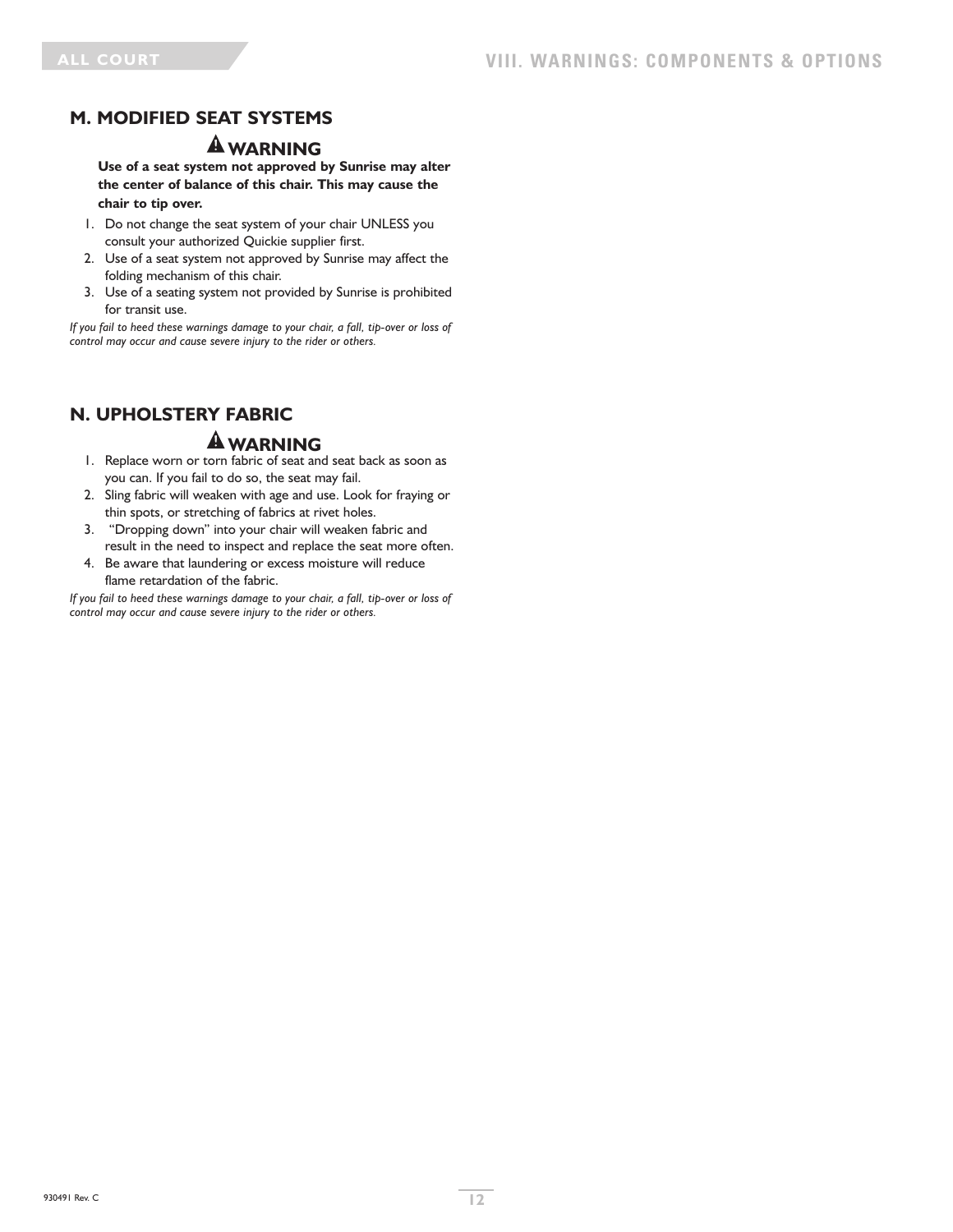# **M. MODIFIED SEAT SYSTEMS**

### **WARNING**

**Use of a seat system not approved by Sunrise may alter the center of balance of this chair. This may cause the chair to tip over.**

- 1. Do not change the seat system of your chair UNLESS you consult your authorized Quickie supplier first.
- 2. Use of a seat system not approved by Sunrise may affect the folding mechanism of this chair.
- 3. Use of a seating system not provided by Sunrise is prohibited for transit use.

*If you fail to heed these warnings damage to your chair, a fall, tip-over or loss of control may occur and cause severe injury to the rider or others.*

# **N. UPHOLSTERY FABRIC**

# **WARNING**

- 1. Replace worn or torn fabric of seat and seat back as soon as you can. If you fail to do so, the seat may fail.
- 2. Sling fabric will weaken with age and use. Look for fraying or thin spots, or stretching of fabrics at rivet holes.
- 3. "Dropping down" into your chair will weaken fabric and result in the need to inspect and replace the seat more often.
- 4. Be aware that laundering or excess moisture will reduce flame retardation of the fabric.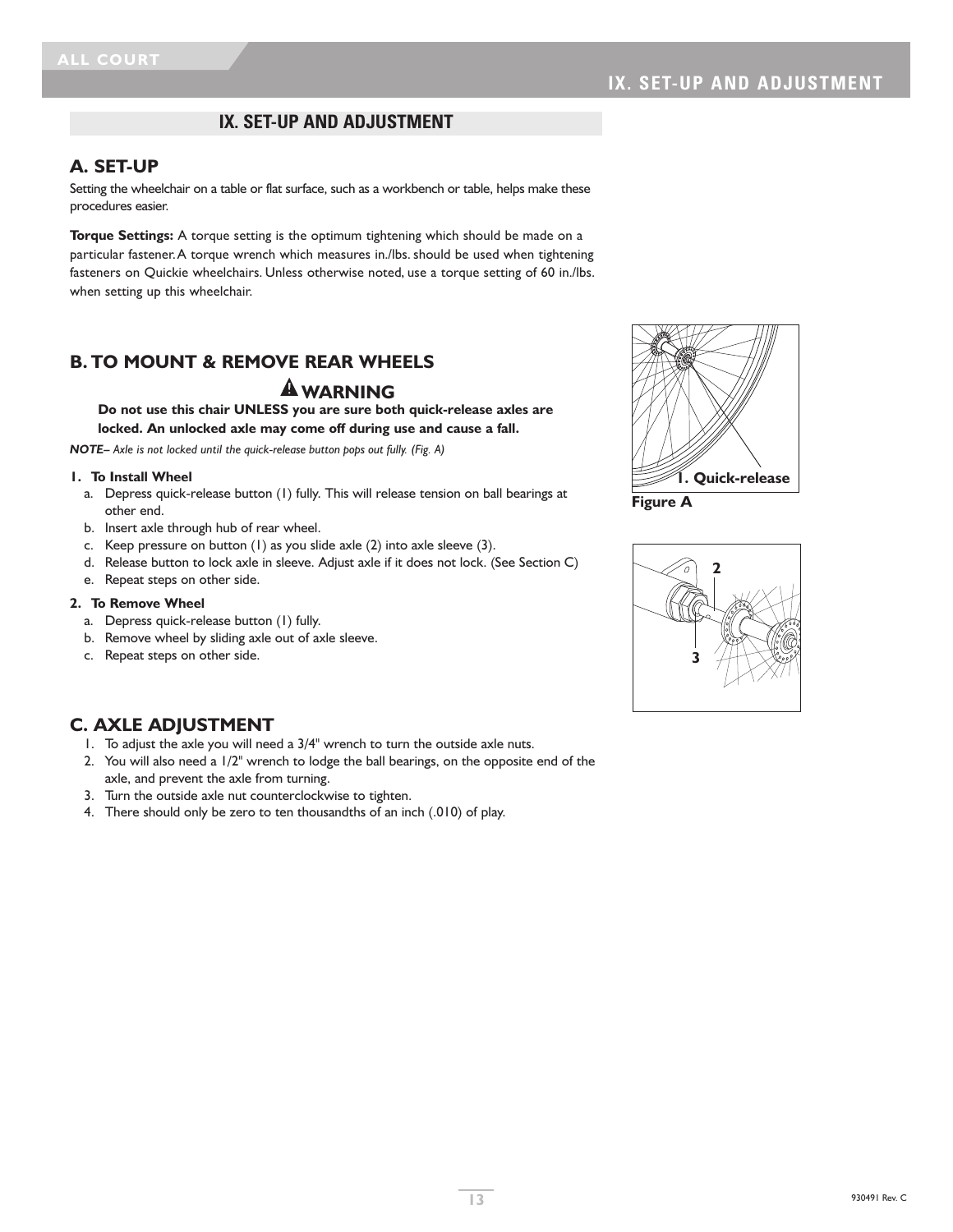### **IX. SET-UP AND ADJUSTMENT**

### **A. SET-UP**

Setting the wheelchair on a table or flat surface, such as a workbench or table, helps make these procedures easier.

**Torque Settings:** A torque setting is the optimum tightening which should be made on a particular fastener.A torque wrench which measures in./lbs. should be used when tightening fasteners on Quickie wheelchairs. Unless otherwise noted, use a torque setting of 60 in./lbs. when setting up this wheelchair.

### **B. TO MOUNT & REMOVE REAR WHEELS**

### **WARNING**

**Do not use this chair UNLESS you are sure both quick-release axles are locked. An unlocked axle may come off during use and cause a fall.**

*NOTE– Axle is not locked until the quick-release button pops out fully. (Fig. A)*

#### **1. To Install Wheel**

- a. Depress quick-release button (1) fully. This will release tension on ball bearings at other end.
- b. Insert axle through hub of rear wheel.
- c. Keep pressure on button (1) as you slide axle (2) into axle sleeve (3).
- d. Release button to lock axle in sleeve. Adjust axle if it does not lock. (See Section C)
- e. Repeat steps on other side.

#### **2. To Remove Wheel**

- a. Depress quick-release button (1) fully.
- b. Remove wheel by sliding axle out of axle sleeve.
- c. Repeat steps on other side.



**Figure A**



### **C. AXLE ADJUSTMENT**

- 1. To adjust the axle you will need a 3/4" wrench to turn the outside axle nuts.
- 2. You will also need a 1/2" wrench to lodge the ball bearings, on the opposite end of the axle, and prevent the axle from turning.
- 3. Turn the outside axle nut counterclockwise to tighten.
- 4. There should only be zero to ten thousandths of an inch (.010) of play.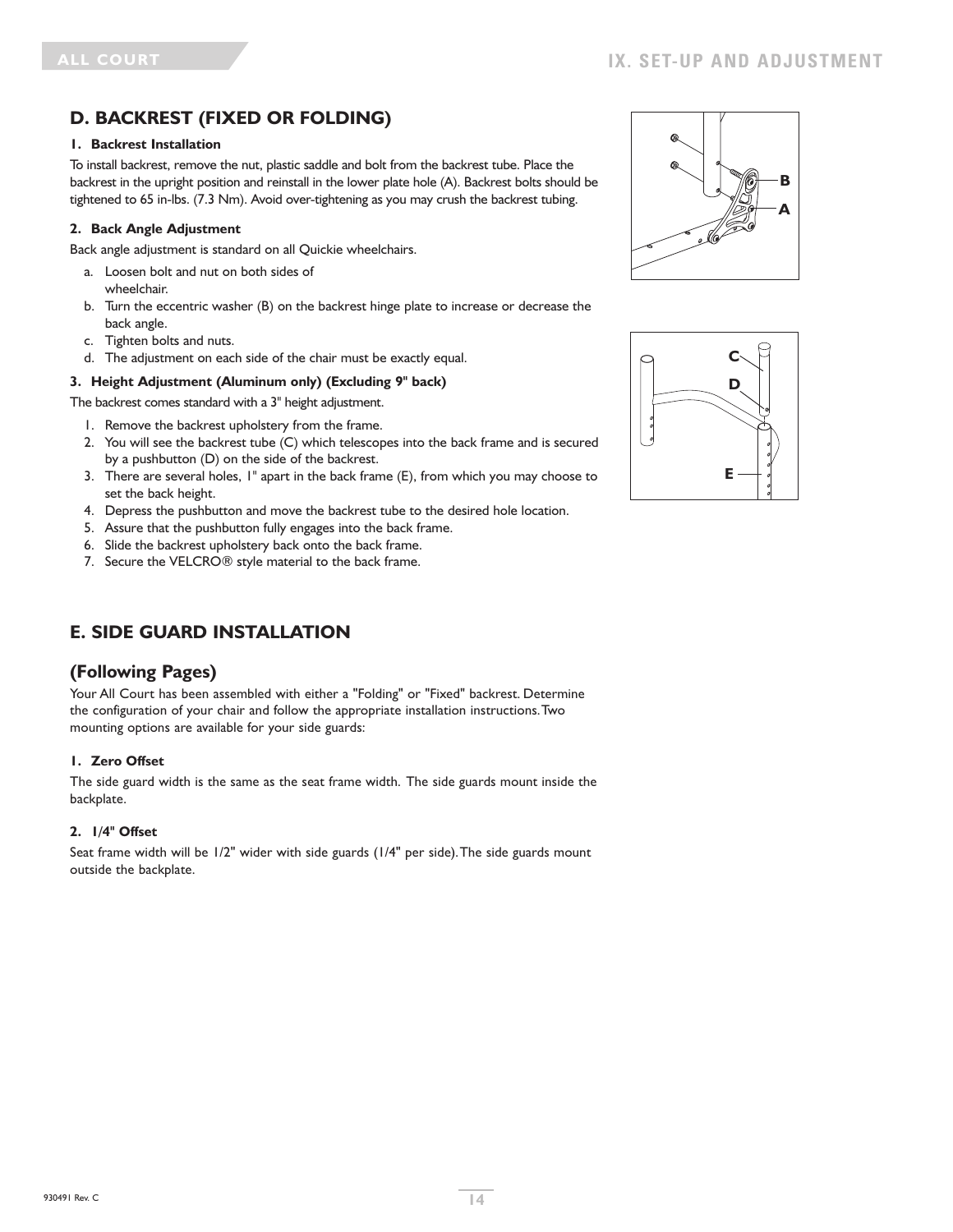# **D. BACKREST (FIXED OR FOLDING)**

#### **1. Backrest Installation**

To install backrest, remove the nut, plastic saddle and bolt from the backrest tube. Place the backrest in the upright position and reinstall in the lower plate hole (A). Backrest bolts should be tightened to 65 in-lbs. (7.3 Nm). Avoid over-tightening as you may crush the backrest tubing.

#### **2. Back Angle Adjustment**

Back angle adjustment is standard on all Quickie wheelchairs.

- a. Loosen bolt and nut on both sides of wheelchair.
- b. Turn the eccentric washer (B) on the backrest hinge plate to increase or decrease the back angle.
- c. Tighten bolts and nuts.
- d. The adjustment on each side of the chair must be exactly equal.

#### **3. Height Adjustment (Aluminum only) (Excluding 9" back)**

#### The backrest comes standard with a 3" height adjustment.

- 1. Remove the backrest upholstery from the frame.
- 2. You will see the backrest tube (C) which telescopes into the back frame and is secured by a pushbutton (D) on the side of the backrest.
- 3. There are several holes, 1" apart in the back frame (E), from which you may choose to set the back height.
- 4. Depress the pushbutton and move the backrest tube to the desired hole location.
- 5. Assure that the pushbutton fully engages into the back frame.
- 6. Slide the backrest upholstery back onto the back frame.
- 7. Secure the VELCRO® style material to the back frame.

# **E. SIDE GUARD INSTALLATION**

### **(Following Pages)**

Your All Court has been assembled with either a "Folding" or "Fixed" backrest. Determine the configuration of your chair and follow the appropriate installation instructions.Two mounting options are available for your side guards:

#### **1. Zero Offset**

The side guard width is the same as the seat frame width. The side guards mount inside the backplate.

#### **2. 1/4" Offset**

Seat frame width will be 1/2" wider with side guards (1/4" per side).The side guards mount outside the backplate.



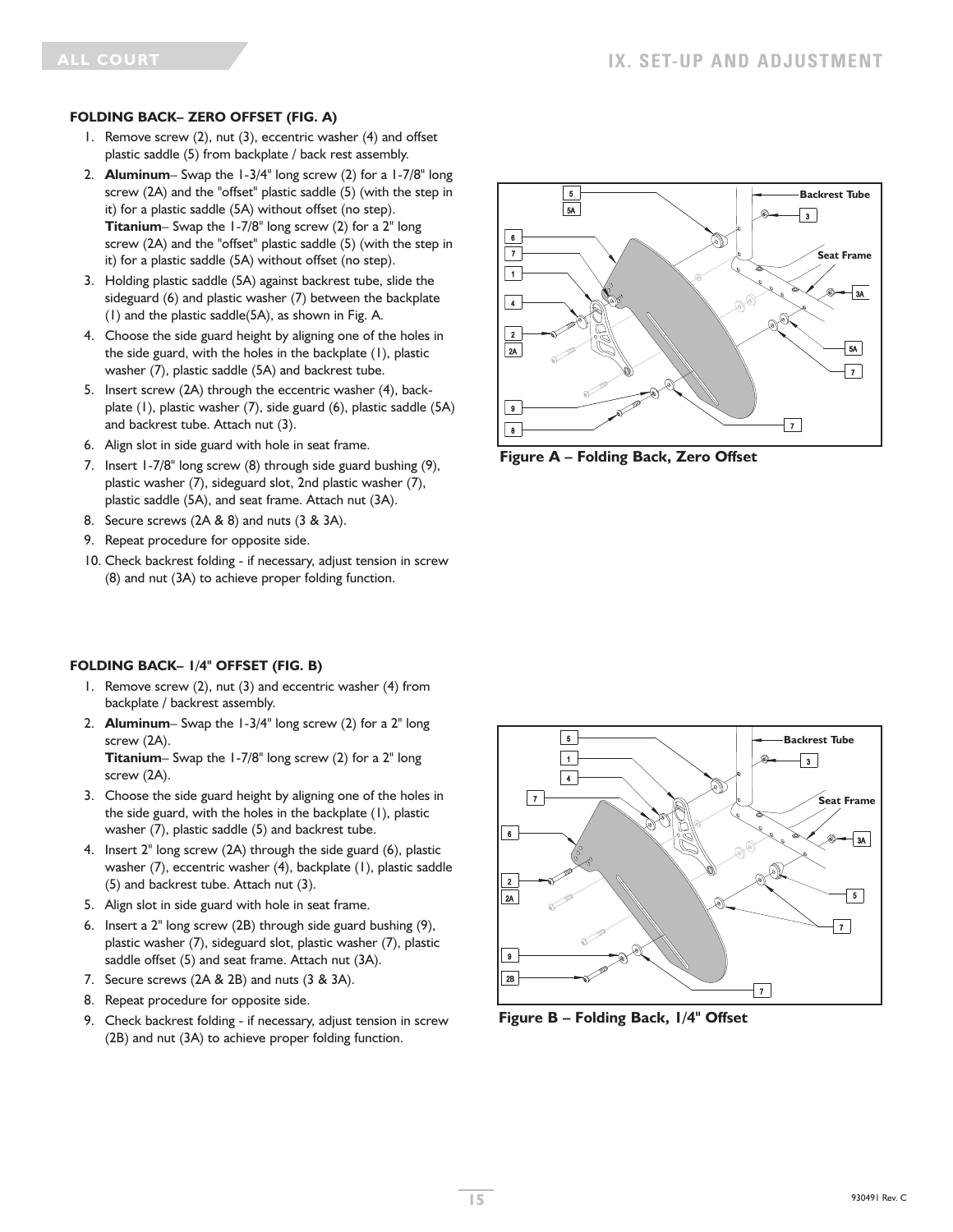#### **FOLDING BACK– ZERO OFFSET (FIG. A)**

- 1. Remove screw (2), nut (3), eccentric washer (4) and offset plastic saddle (5) from backplate / back rest assembly.
- 2. **Aluminum** Swap the 1-3/4" long screw (2) for a 1-7/8" long screw (2A) and the "offset" plastic saddle (5) (with the step in it) for a plastic saddle (5A) without offset (no step). **Titanium**– Swap the 1-7/8" long screw (2) for a 2" long screw (2A) and the "offset" plastic saddle (5) (with the step in it) for a plastic saddle (5A) without offset (no step).
- 3. Holding plastic saddle (5A) against backrest tube, slide the sideguard (6) and plastic washer (7) between the backplate (1) and the plastic saddle(5A), as shown in Fig. A.
- 4. Choose the side guard height by aligning one of the holes in the side guard, with the holes in the backplate (1), plastic washer (7), plastic saddle (5A) and backrest tube.
- 5. Insert screw (2A) through the eccentric washer (4), backplate (1), plastic washer (7), side guard (6), plastic saddle (5A) and backrest tube. Attach nut (3).
- 6. Align slot in side guard with hole in seat frame.
- 7. Insert 1-7/8" long screw (8) through side guard bushing (9), plastic washer (7), sideguard slot, 2nd plastic washer (7), plastic saddle (5A), and seat frame. Attach nut (3A).
- 8. Secure screws (2A & 8) and nuts (3 & 3A).
- 9. Repeat procedure for opposite side.
- 10. Check backrest folding if necessary, adjust tension in screw (8) and nut (3A) to achieve proper folding function.

### **FOLDING BACK– 1/4" OFFSET (FIG. B)**

- 1. Remove screw (2), nut (3) and eccentric washer (4) from backplate / backrest assembly.
- 2. **Aluminum** Swap the 1-3/4" long screw (2) for a 2" long screw (2A).

**Titanium**– Swap the 1-7/8" long screw (2) for a 2" long screw (2A).

- 3. Choose the side guard height by aligning one of the holes in the side guard, with the holes in the backplate (1), plastic washer (7), plastic saddle (5) and backrest tube.
- 4. Insert 2" long screw (2A) through the side guard (6), plastic washer (7), eccentric washer (4), backplate (1), plastic saddle (5) and backrest tube. Attach nut (3).
- 5. Align slot in side guard with hole in seat frame.
- 6. Insert a 2" long screw (2B) through side guard bushing (9), plastic washer (7), sideguard slot, plastic washer (7), plastic saddle offset (5) and seat frame. Attach nut (3A).
- 7. Secure screws (2A & 2B) and nuts (3 & 3A).
- 8. Repeat procedure for opposite side.
- 9. Check backrest folding if necessary, adjust tension in screw (2B) and nut (3A) to achieve proper folding function.



**Figure A – Folding Back, Zero Offset**



**Figure B – Folding Back, 1/4" Offset**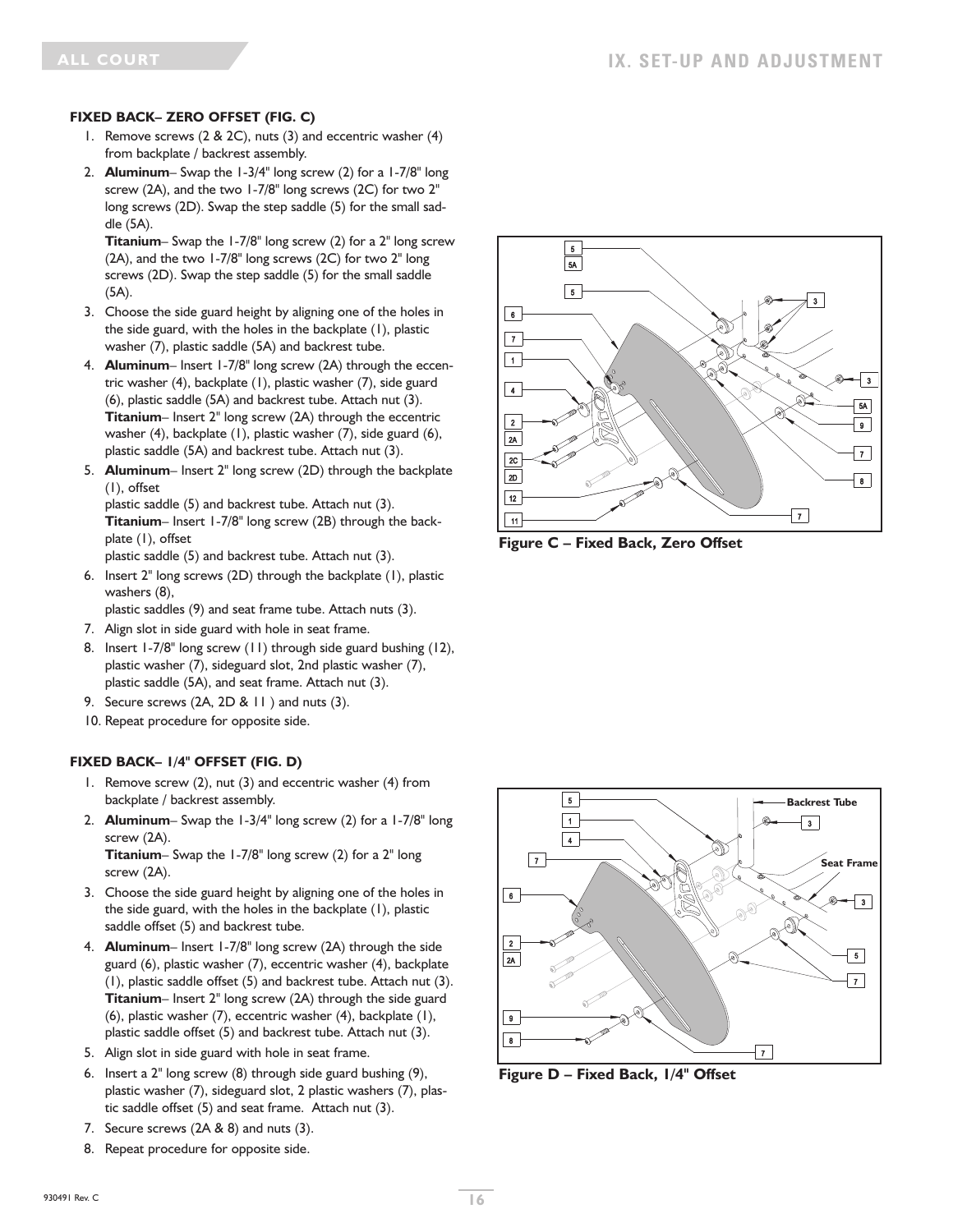#### **FIXED BACK– ZERO OFFSET (FIG. C)**

- 1. Remove screws (2 & 2C), nuts (3) and eccentric washer (4) from backplate / backrest assembly.
- 2. **Aluminum** Swap the 1-3/4" long screw (2) for a 1-7/8" long screw (2A), and the two 1-7/8" long screws (2C) for two 2" long screws (2D). Swap the step saddle (5) for the small saddle (5A).

**Titanium**– Swap the 1-7/8" long screw (2) for a 2" long screw (2A), and the two 1-7/8" long screws (2C) for two 2" long screws (2D). Swap the step saddle (5) for the small saddle (5A).

- 3. Choose the side guard height by aligning one of the holes in the side guard, with the holes in the backplate (1), plastic washer (7), plastic saddle (5A) and backrest tube.
- 4. **Aluminum** Insert 1-7/8" long screw (2A) through the eccentric washer (4), backplate (1), plastic washer (7), side guard (6), plastic saddle (5A) and backrest tube. Attach nut (3). **Titanium**– Insert 2" long screw (2A) through the eccentric washer (4), backplate (1), plastic washer (7), side guard (6), plastic saddle (5A) and backrest tube. Attach nut (3).
- 5. **Aluminum** Insert 2" long screw (2D) through the backplate (1), offset

plastic saddle (5) and backrest tube. Attach nut (3). **Titanium**– Insert 1-7/8" long screw (2B) through the backplate (1), offset

plastic saddle (5) and backrest tube. Attach nut (3).

6. Insert 2" long screws (2D) through the backplate (1), plastic washers (8),

plastic saddles (9) and seat frame tube. Attach nuts (3).

- 7. Align slot in side guard with hole in seat frame.
- 8. Insert 1-7/8" long screw (11) through side guard bushing (12), plastic washer (7), sideguard slot, 2nd plastic washer (7), plastic saddle (5A), and seat frame. Attach nut (3).
- 9. Secure screws (2A, 2D & 11 ) and nuts (3).
- 10. Repeat procedure for opposite side.

#### **FIXED BACK– 1/4" OFFSET (FIG. D)**

- 1. Remove screw (2), nut (3) and eccentric washer (4) from backplate / backrest assembly.
- 2. **Aluminum** Swap the 1-3/4" long screw (2) for a 1-7/8" long screw (2A). **Titanium**– Swap the 1-7/8" long screw (2) for a 2" long screw (2A).
- 3. Choose the side guard height by aligning one of the holes in the side guard, with the holes in the backplate (1), plastic saddle offset (5) and backrest tube.
- 4. **Aluminum** Insert 1-7/8" long screw (2A) through the side guard (6), plastic washer (7), eccentric washer (4), backplate (1), plastic saddle offset (5) and backrest tube. Attach nut (3). **Titanium**– Insert 2" long screw (2A) through the side guard (6), plastic washer (7), eccentric washer (4), backplate (1), plastic saddle offset (5) and backrest tube. Attach nut (3).
- 5. Align slot in side guard with hole in seat frame.
- 6. Insert a 2" long screw (8) through side guard bushing (9), plastic washer (7), sideguard slot, 2 plastic washers (7), plastic saddle offset (5) and seat frame. Attach nut (3).
- 7. Secure screws (2A & 8) and nuts (3).
- 8. Repeat procedure for opposite side.



**Figure C – Fixed Back, Zero Offset**



**Figure D – Fixed Back, 1/4" Offset**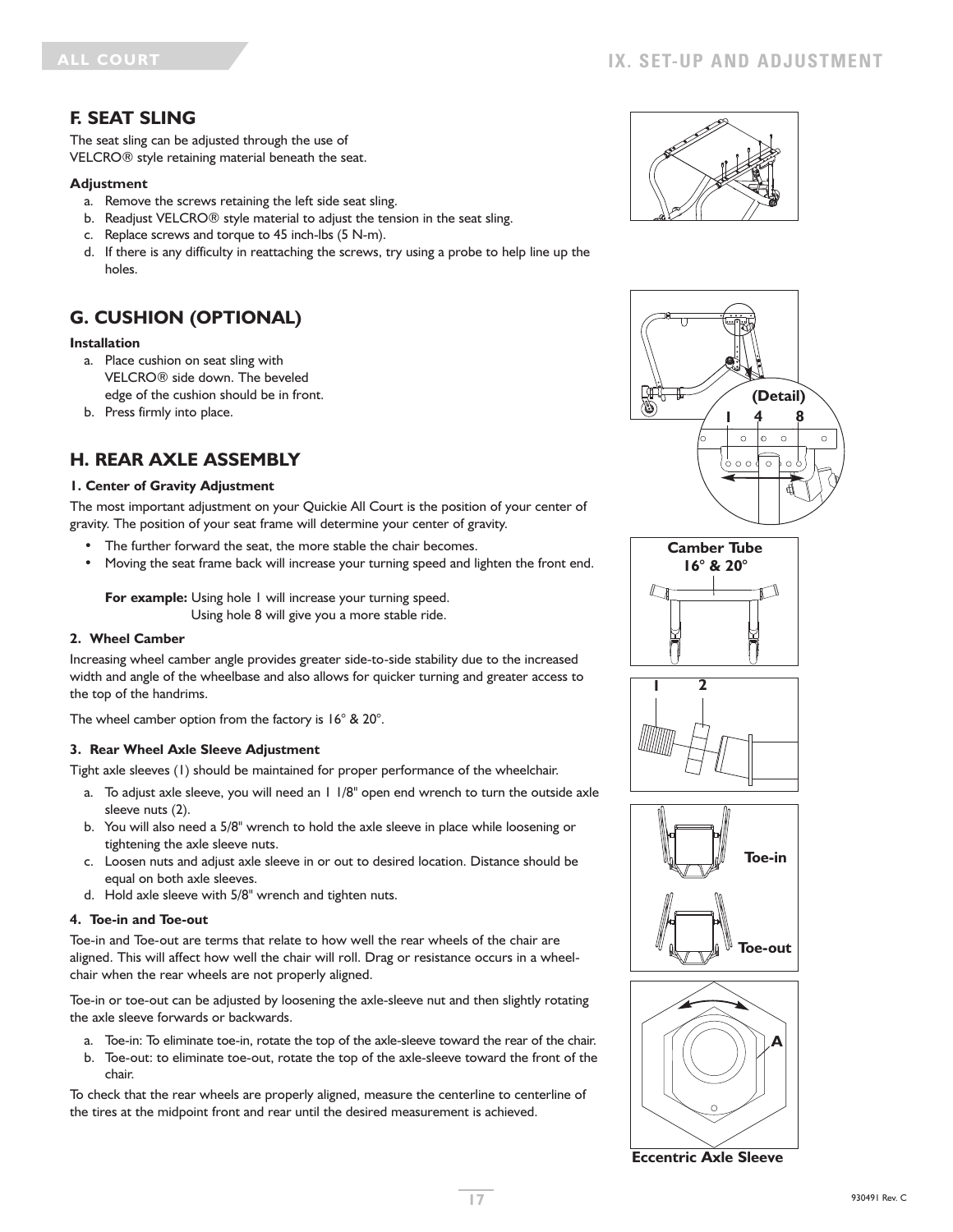### **F. SEAT SLING**

The seat sling can be adjusted through the use of VELCRO® style retaining material beneath the seat.

#### **Adjustment**

- a. Remove the screws retaining the left side seat sling.
- b. Readjust VELCRO® style material to adjust the tension in the seat sling.
- c. Replace screws and torque to 45 inch-lbs (5 N-m).
- d. If there is any difficulty in reattaching the screws, try using a probe to help line up the holes.

# **G. CUSHION (OPTIONAL)**

#### **Installation**

- a. Place cushion on seat sling with VELCRO® side down. The beveled edge of the cushion should be in front.
- b. Press firmly into place.

### **H. REAR AXLE ASSEMBLY**

#### **1. Center of Gravity Adjustment**

The most important adjustment on your Quickie All Court is the position of your center of gravity. The position of your seat frame will determine your center of gravity.

- The further forward the seat, the more stable the chair becomes.
- Moving the seat frame back will increase your turning speed and lighten the front end.

**For example:** Using hole 1 will increase your turning speed. Using hole 8 will give you a more stable ride.

#### **2. Wheel Camber**

Increasing wheel camber angle provides greater side-to-side stability due to the increased width and angle of the wheelbase and also allows for quicker turning and greater access to the top of the handrims.

The wheel camber option from the factory is 16° & 20°.

#### **3. Rear Wheel Axle Sleeve Adjustment**

Tight axle sleeves (1) should be maintained for proper performance of the wheelchair.

- a. To adjust axle sleeve, you will need an 1 1/8" open end wrench to turn the outside axle sleeve nuts (2).
- b. You will also need a 5/8" wrench to hold the axle sleeve in place while loosening or tightening the axle sleeve nuts.
- c. Loosen nuts and adjust axle sleeve in or out to desired location. Distance should be equal on both axle sleeves.
- d. Hold axle sleeve with 5/8" wrench and tighten nuts.

#### **4. Toe-in and Toe-out**

Toe-in and Toe-out are terms that relate to how well the rear wheels of the chair are aligned. This will affect how well the chair will roll. Drag or resistance occurs in a wheelchair when the rear wheels are not properly aligned.

Toe-in or toe-out can be adjusted by loosening the axle-sleeve nut and then slightly rotating the axle sleeve forwards or backwards.

- a. Toe-in: To eliminate toe-in, rotate the top of the axle-sleeve toward the rear of the chair.
- b. Toe-out: to eliminate toe-out, rotate the top of the axle-sleeve toward the front of the chair.

To check that the rear wheels are properly aligned, measure the centerline to centerline of the tires at the midpoint front and rear until the desired measurement is achieved.













**Eccentric Axle Sleeve**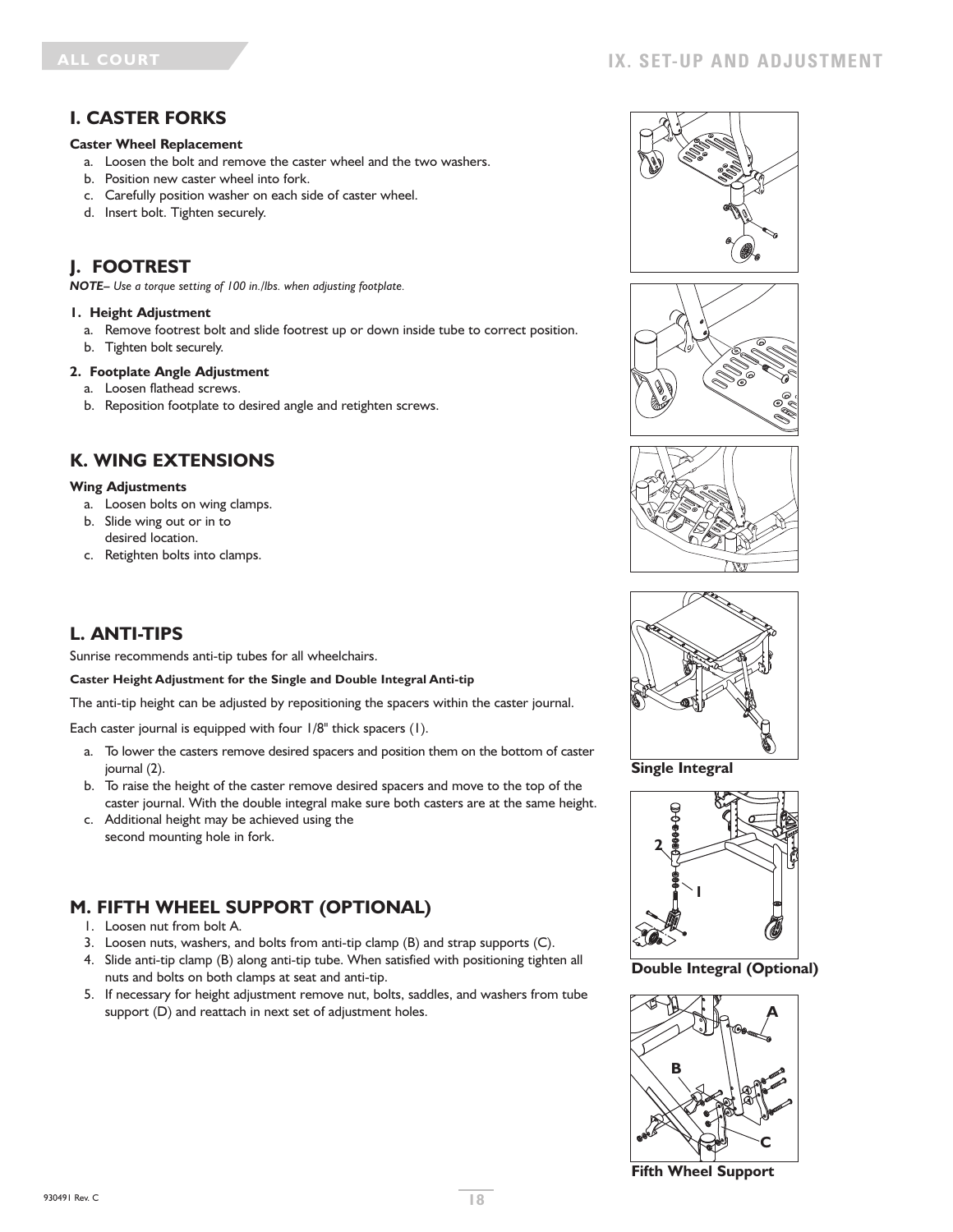### **I. CASTER FORKS**

#### **Caster Wheel Replacement**

- a. Loosen the bolt and remove the caster wheel and the two washers.
- b. Position new caster wheel into fork.
- c. Carefully position washer on each side of caster wheel.
- d. Insert bolt. Tighten securely.

# **J. FOOTREST**

*NOTE– Use a torque setting of 100 in./lbs. when adjusting footplate.*

#### **1. Height Adjustment**

- a. Remove footrest bolt and slide footrest up or down inside tube to correct position.
- b. Tighten bolt securely.

#### **2. Footplate Angle Adjustment**

- a. Loosen flathead screws.
- b. Reposition footplate to desired angle and retighten screws.

### **K. WING EXTENSIONS**

#### **Wing Adjustments**

- a. Loosen bolts on wing clamps.
- b. Slide wing out or in to desired location.
- c. Retighten bolts into clamps.

# **L. ANTI-TIPS**

Sunrise recommends anti-tip tubes for all wheelchairs.

#### **Caster Height Adjustment for the Single and Double Integral Anti-tip**

The anti-tip height can be adjusted by repositioning the spacers within the caster journal.

Each caster journal is equipped with four 1/8" thick spacers (1).

- a. To lower the casters remove desired spacers and position them on the bottom of caster journal (2).
- b. To raise the height of the caster remove desired spacers and move to the top of the caster journal. With the double integral make sure both casters are at the same height.
- c. Additional height may be achieved using the second mounting hole in fork.

# **M. FIFTH WHEEL SUPPORT (OPTIONAL)**

- 1. Loosen nut from bolt A.
- 3. Loosen nuts, washers, and bolts from anti-tip clamp (B) and strap supports (C).
- 4. Slide anti-tip clamp (B) along anti-tip tube. When satisfied with positioning tighten all nuts and bolts on both clamps at seat and anti-tip.
- 5. If necessary for height adjustment remove nut, bolts, saddles, and washers from tube support (D) and reattach in next set of adjustment holes.









**Single Integral**



**Double Integral (Optional)**



**Fifth Wheel Support**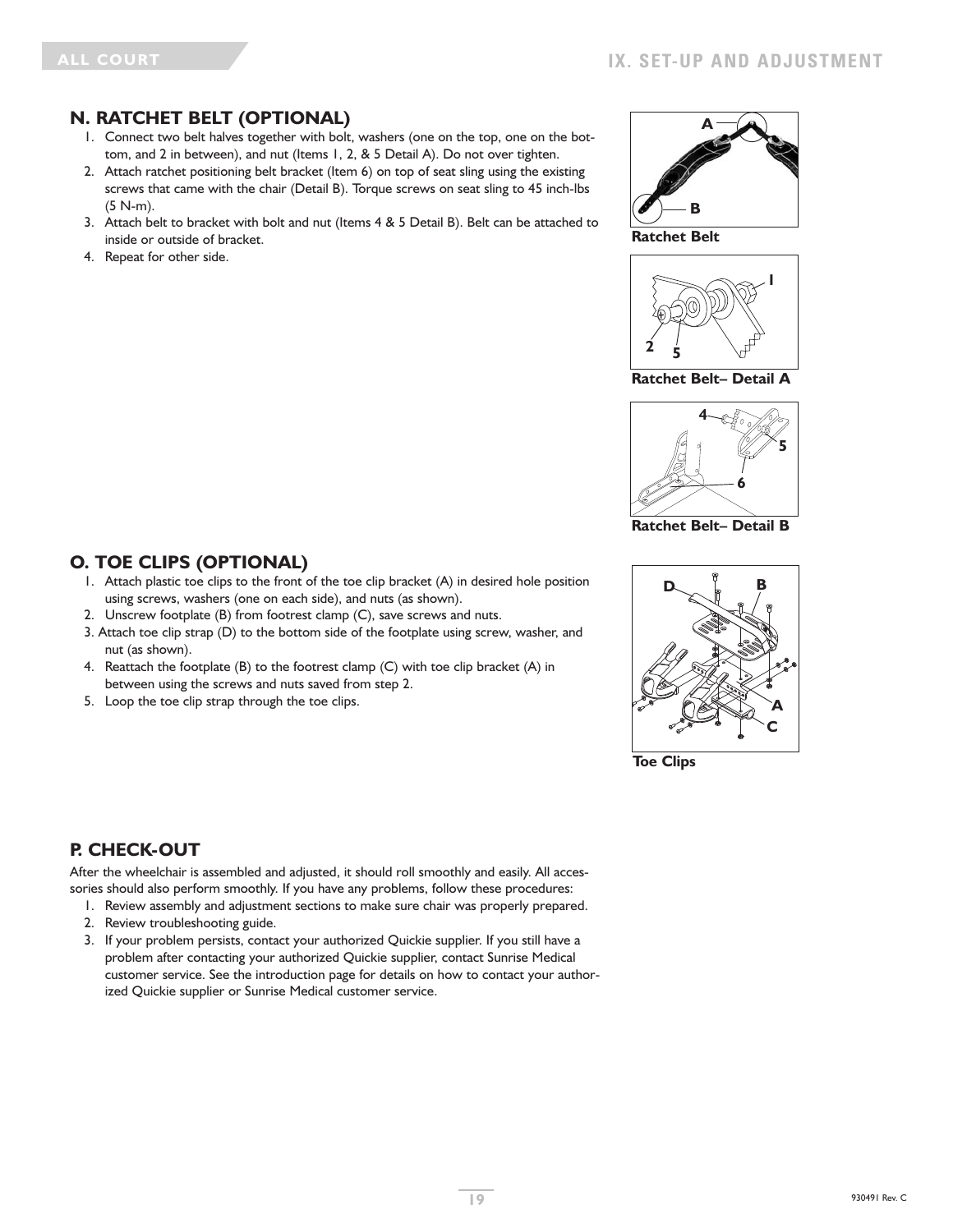### **N. RATCHET BELT (OPTIONAL)**

- 1. Connect two belt halves together with bolt, washers (one on the top, one on the bottom, and 2 in between), and nut (Items 1, 2, & 5 Detail A). Do not over tighten.
- 2. Attach ratchet positioning belt bracket (Item 6) on top of seat sling using the existing screws that came with the chair (Detail B). Torque screws on seat sling to 45 inch-lbs (5 N-m).
- 3. Attach belt to bracket with bolt and nut (Items 4 & 5 Detail B). Belt can be attached to inside or outside of bracket.
- 4. Repeat for other side.



**Ratchet Belt**



**Ratchet Belt– Detail A**



**Ratchet Belt– Detail B**



**Toe Clips**

### **O. TOE CLIPS (OPTIONAL)**

- 1. Attach plastic toe clips to the front of the toe clip bracket (A) in desired hole position using screws, washers (one on each side), and nuts (as shown).
- 2. Unscrew footplate (B) from footrest clamp (C), save screws and nuts.
- 3. Attach toe clip strap (D) to the bottom side of the footplate using screw, washer, and nut (as shown).
- 4. Reattach the footplate (B) to the footrest clamp (C) with toe clip bracket (A) in between using the screws and nuts saved from step 2.
- 5. Loop the toe clip strap through the toe clips.

# **P. CHECK-OUT**

After the wheelchair is assembled and adjusted, it should roll smoothly and easily. All accessories should also perform smoothly. If you have any problems, follow these procedures:

- 1. Review assembly and adjustment sections to make sure chair was properly prepared.
- 2. Review troubleshooting guide.
- 3. If your problem persists, contact your authorized Quickie supplier. If you still have a problem after contacting your authorized Quickie supplier, contact Sunrise Medical customer service. See the introduction page for details on how to contact your authorized Quickie supplier or Sunrise Medical customer service.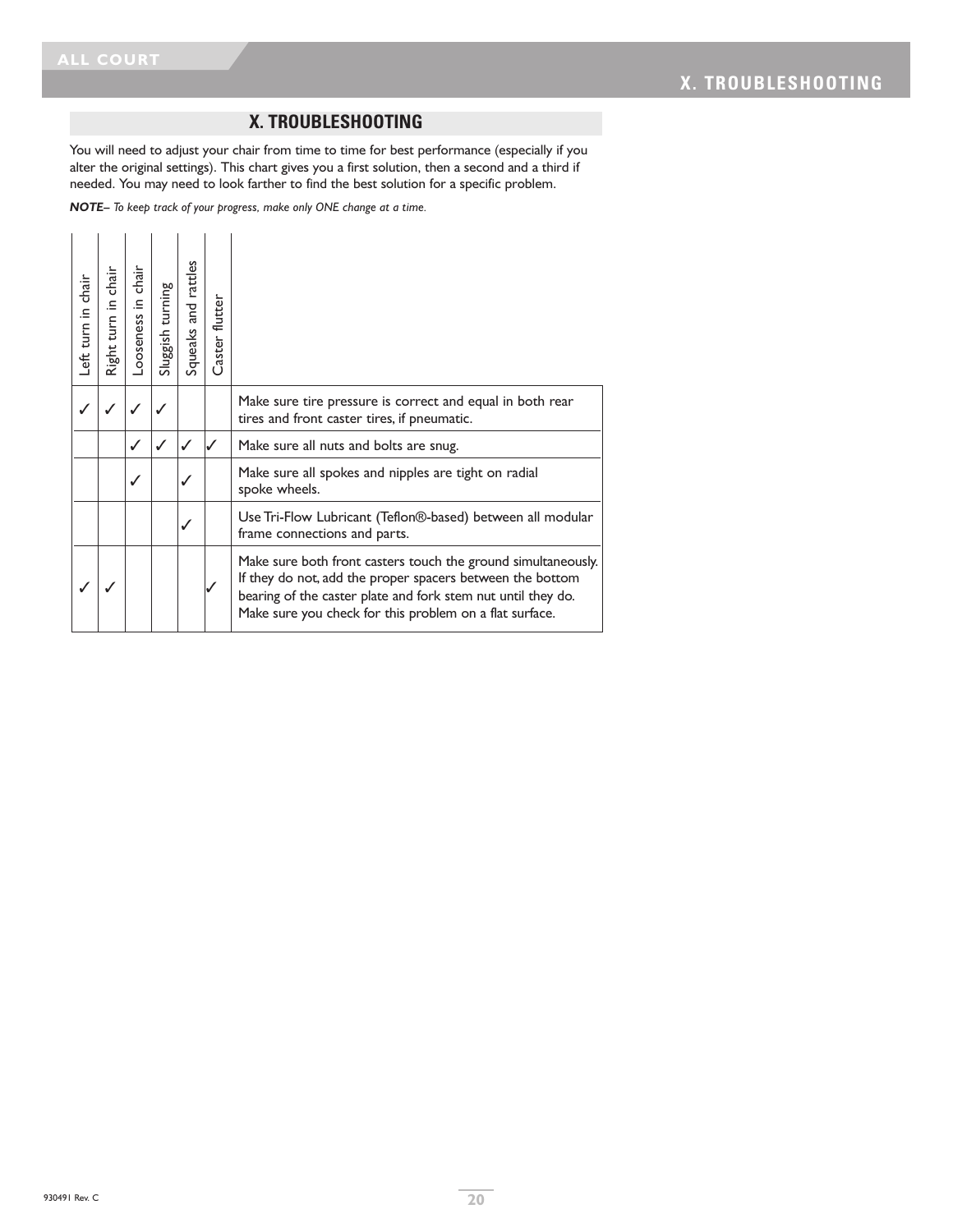# **X. TROUBLESHOOTING**

You will need to adjust your chair from time to time for best performance (especially if you alter the original settings). This chart gives you a first solution, then a second and a third if needed. You may need to look farther to find the best solution for a specific problem.

*NOTE– To keep track of your progress, make only ONE change at a time.*

| Left turn in chair | chair<br>Right turn in | chair<br>$\equiv$<br>-ooseness | Sluggish turning | and rattles<br>Squeaks a | Caster flutter |                                                                                                                                                                                                                                                       |
|--------------------|------------------------|--------------------------------|------------------|--------------------------|----------------|-------------------------------------------------------------------------------------------------------------------------------------------------------------------------------------------------------------------------------------------------------|
|                    |                        |                                |                  |                          |                | Make sure tire pressure is correct and equal in both rear<br>tires and front caster tires, if pneumatic.                                                                                                                                              |
|                    |                        |                                |                  |                          |                | Make sure all nuts and bolts are snug.                                                                                                                                                                                                                |
|                    |                        |                                |                  |                          |                | Make sure all spokes and nipples are tight on radial<br>spoke wheels.                                                                                                                                                                                 |
|                    |                        |                                |                  | ✓                        |                | Use Tri-Flow Lubricant (Teflon®-based) between all modular<br>frame connections and parts.                                                                                                                                                            |
|                    |                        |                                |                  |                          |                | Make sure both front casters touch the ground simultaneously.<br>If they do not, add the proper spacers between the bottom<br>bearing of the caster plate and fork stem nut until they do.<br>Make sure you check for this problem on a flat surface. |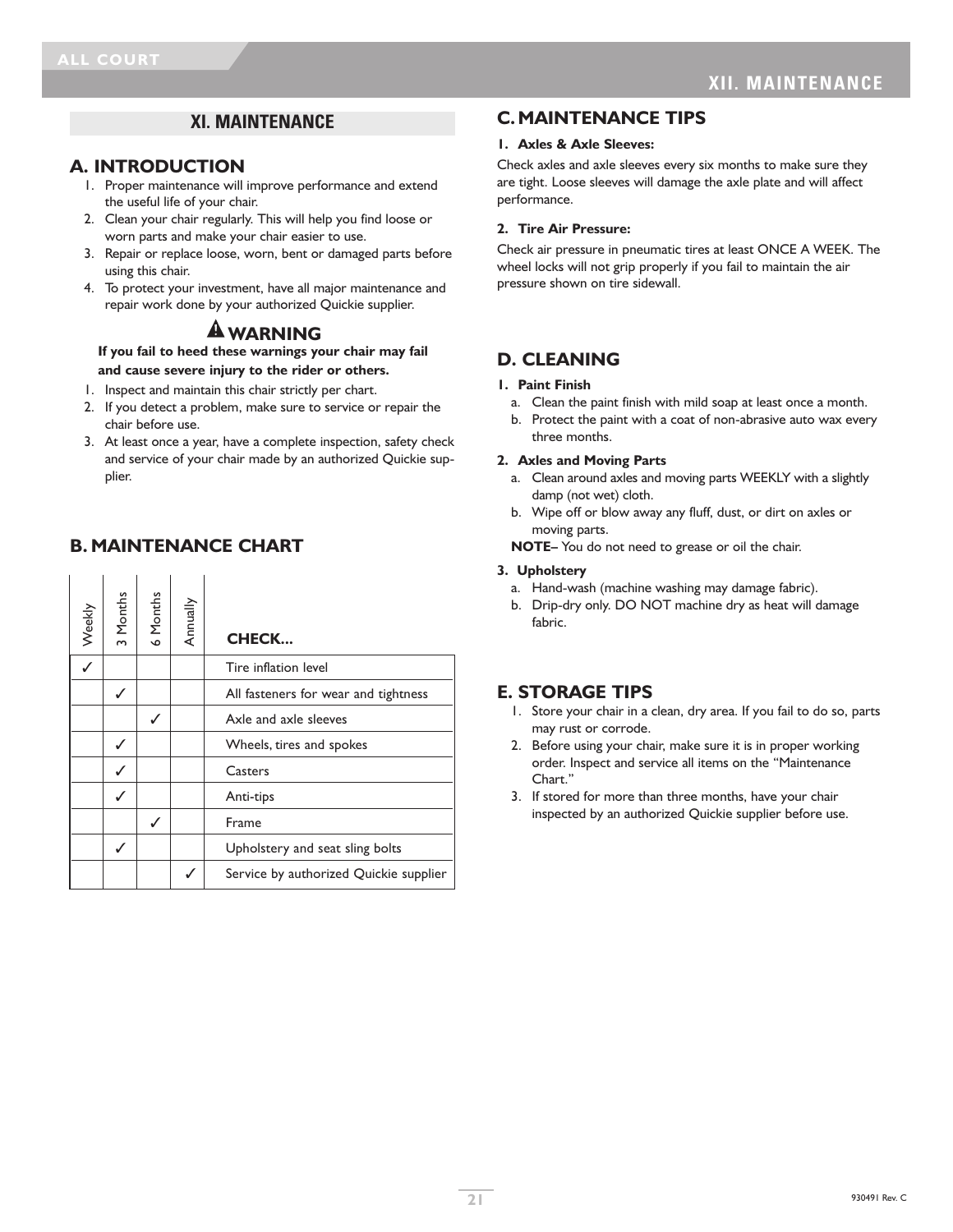# **XI. MAINTENANCE**

### **A. INTRODUCTION**

- 1. Proper maintenance will improve performance and extend the useful life of your chair.
- 2. Clean your chair regularly. This will help you find loose or worn parts and make your chair easier to use.
- 3. Repair or replace loose, worn, bent or damaged parts before using this chair.
- 4. To protect your investment, have all major maintenance and repair work done by your authorized Quickie supplier.

# **WARNING**

**If you fail to heed these warnings your chair may fail and cause severe injury to the rider or others.**

- 1. Inspect and maintain this chair strictly per chart.
- 2. If you detect a problem, make sure to service or repair the chair before use.
- 3. At least once a year, have a complete inspection, safety check and service of your chair made by an authorized Quickie supplier.

# **B. MAINTENANCE CHART**

| Weekly | 3 Months | 6 Months | Annually | <b>CHECK</b>                           |
|--------|----------|----------|----------|----------------------------------------|
|        |          |          |          | Tire inflation level                   |
|        |          |          |          | All fasteners for wear and tightness   |
|        |          | ✓        |          | Axle and axle sleeves                  |
|        |          |          |          | Wheels, tires and spokes               |
|        |          |          |          | Casters                                |
|        |          |          |          | Anti-tips                              |
|        |          | ✓        |          | Frame                                  |
|        |          |          |          | Upholstery and seat sling bolts        |
|        |          |          |          | Service by authorized Quickie supplier |

### **C. MAINTENANCE TIPS**

#### **1. Axles & Axle Sleeves:**

Check axles and axle sleeves every six months to make sure they are tight. Loose sleeves will damage the axle plate and will affect performance.

#### **2. Tire Air Pressure:**

Check air pressure in pneumatic tires at least ONCE A WEEK. The wheel locks will not grip properly if you fail to maintain the air pressure shown on tire sidewall.

# **D. CLEANING**

#### **1. Paint Finish**

- a. Clean the paint finish with mild soap at least once a month.
- b. Protect the paint with a coat of non-abrasive auto wax every three months.

#### **2. Axles and Moving Parts**

- a. Clean around axles and moving parts WEEKLY with a slightly damp (not wet) cloth.
- b. Wipe off or blow away any fluff, dust, or dirt on axles or moving parts.

**NOTE–** You do not need to grease or oil the chair.

#### **3. Upholstery**

- a. Hand-wash (machine washing may damage fabric).
- b. Drip-dry only. DO NOT machine dry as heat will damage fabric.

# **E. STORAGE TIPS**

- 1. Store your chair in a clean, dry area. If you fail to do so, parts may rust or corrode.
- 2. Before using your chair, make sure it is in proper working order. Inspect and service all items on the "Maintenance Chart<sup>"</sup>
- 3. If stored for more than three months, have your chair inspected by an authorized Quickie supplier before use.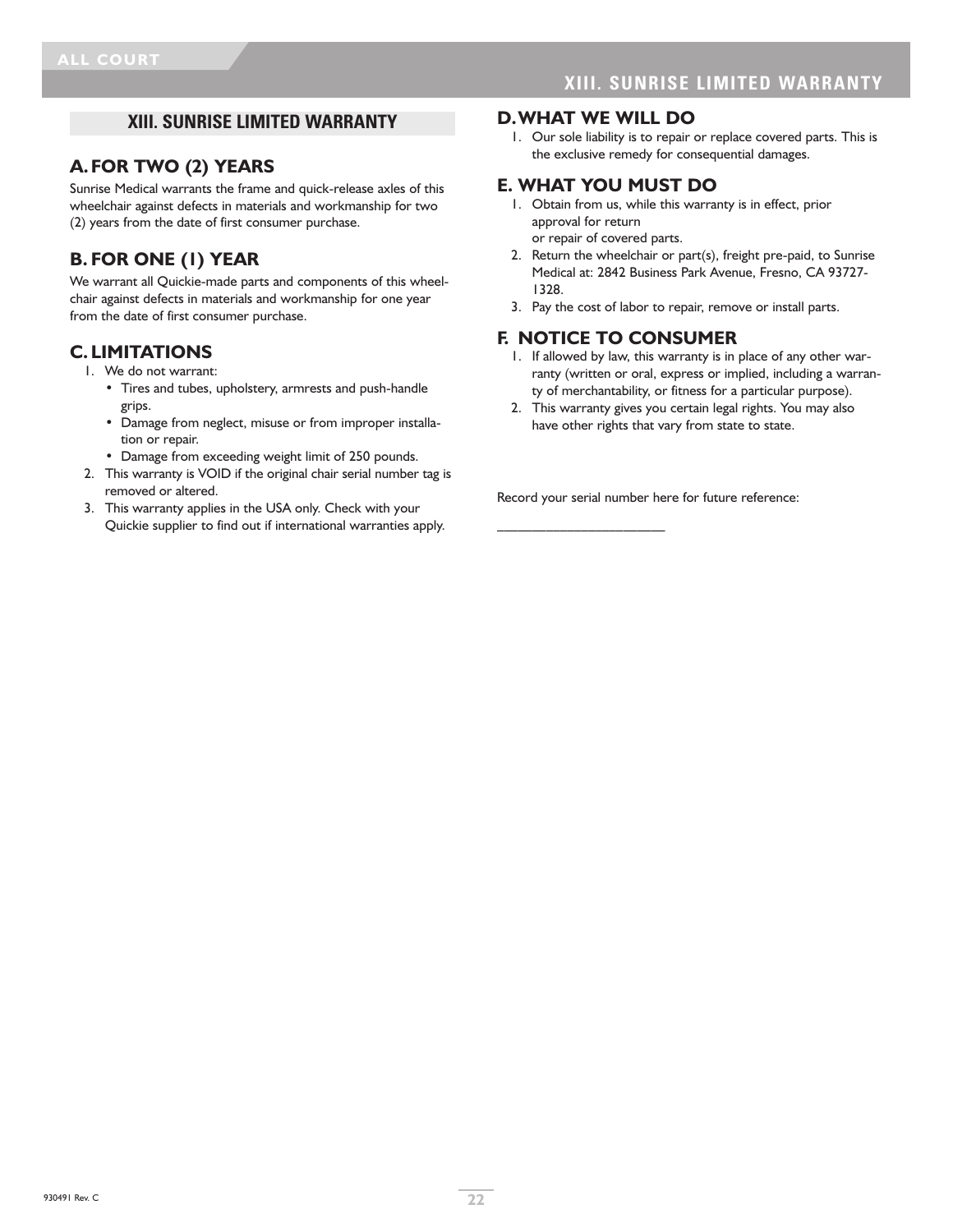# **XIII. SUNRISE LIMITED WARRANTY**

### **A.FOR TWO (2) YEARS**

Sunrise Medical warrants the frame and quick-release axles of this wheelchair against defects in materials and workmanship for two (2) years from the date of first consumer purchase.

# **B. FOR ONE (1) YEAR**

We warrant all Quickie-made parts and components of this wheelchair against defects in materials and workmanship for one year from the date of first consumer purchase.

### **C. LIMITATIONS**

- 1. We do not warrant:
	- Tires and tubes, upholstery, armrests and push-handle grips.
	- Damage from neglect, misuse or from improper installation or repair.
	- Damage from exceeding weight limit of 250 pounds.
- 2. This warranty is VOID if the original chair serial number tag is removed or altered.
- 3. This warranty applies in the USA only. Check with your Quickie supplier to find out if international warranties apply.

#### **D.WHAT WE WILL DO**

1. Our sole liability is to repair or replace covered parts. This is the exclusive remedy for consequential damages.

### **E. WHAT YOU MUST DO**

- 1. Obtain from us, while this warranty is in effect, prior approval for return or repair of covered parts.
- 2. Return the wheelchair or part(s), freight pre-paid, to Sunrise Medical at: 2842 Business Park Avenue, Fresno, CA 93727- 1328.
- 3. Pay the cost of labor to repair, remove or install parts.

### **F. NOTICE TO CONSUMER**

- 1. If allowed by law, this warranty is in place of any other warranty (written or oral, express or implied, including a warranty of merchantability, or fitness for a particular purpose).
- 2. This warranty gives you certain legal rights. You may also have other rights that vary from state to state.

Record your serial number here for future reference:

 $\overline{\phantom{a}}$  , where  $\overline{\phantom{a}}$  , where  $\overline{\phantom{a}}$  , where  $\overline{\phantom{a}}$